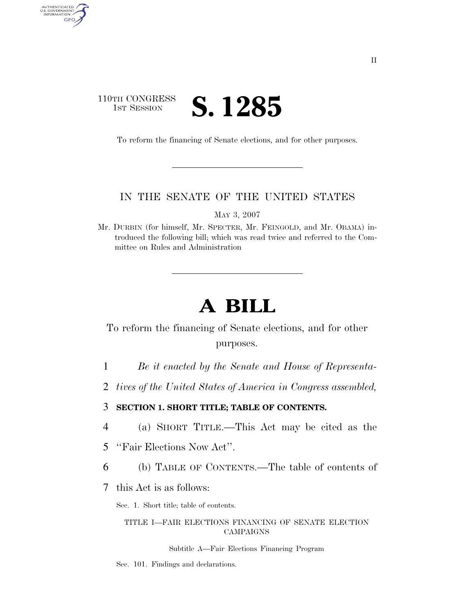## 110TH CONGRESS **1ST SESSION S. 1285**

AUTHENTICATED<br>U.S. GOVERNMENT<br>INFORMATION GPO

To reform the financing of Senate elections, and for other purposes.

## IN THE SENATE OF THE UNITED STATES

MAY 3, 2007

Mr. DURBIN (for himself, Mr. SPECTER, Mr. FEINGOLD, and Mr. OBAMA) introduced the following bill; which was read twice and referred to the Committee on Rules and Administration

# **A BILL**

## To reform the financing of Senate elections, and for other purposes.

- 1 *Be it enacted by the Senate and House of Representa-*
- 2 *tives of the United States of America in Congress assembled,*

3 **SECTION 1. SHORT TITLE; TABLE OF CONTENTS.** 

- 4 (a) SHORT TITLE.—This Act may be cited as the
- 5 ''Fair Elections Now Act''.
- 6 (b) TABLE OF CONTENTS.—The table of contents of
- 7 this Act is as follows:

Sec. 1. Short title; table of contents.

### TITLE I—FAIR ELECTIONS FINANCING OF SENATE ELECTION CAMPAIGNS

#### Subtitle A—Fair Elections Financing Program

Sec. 101. Findings and declarations.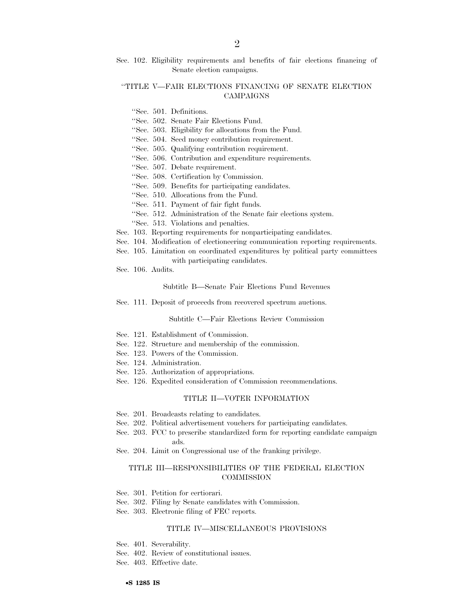Sec. 102. Eligibility requirements and benefits of fair elections financing of Senate election campaigns.

### ''TITLE V—FAIR ELECTIONS FINANCING OF SENATE ELECTION CAMPAIGNS

- ''Sec. 501. Definitions.
- ''Sec. 502. Senate Fair Elections Fund.
- ''Sec. 503. Eligibility for allocations from the Fund.
- ''Sec. 504. Seed money contribution requirement.
- ''Sec. 505. Qualifying contribution requirement.
- ''Sec. 506. Contribution and expenditure requirements.
- ''Sec. 507. Debate requirement.
- ''Sec. 508. Certification by Commission.
- ''Sec. 509. Benefits for participating candidates.
- ''Sec. 510. Allocations from the Fund.
- ''Sec. 511. Payment of fair fight funds.
- ''Sec. 512. Administration of the Senate fair elections system.
- ''Sec. 513. Violations and penalties.
- Sec. 103. Reporting requirements for nonparticipating candidates.
- Sec. 104. Modification of electioneering communication reporting requirements.
- Sec. 105. Limitation on coordinated expenditures by political party committees with participating candidates.
- Sec. 106. Audits.

Subtitle B—Senate Fair Elections Fund Revenues

Sec. 111. Deposit of proceeds from recovered spectrum auctions.

Subtitle C—Fair Elections Review Commission

- Sec. 121. Establishment of Commission.
- Sec. 122. Structure and membership of the commission.
- Sec. 123. Powers of the Commission.
- Sec. 124. Administration.
- Sec. 125. Authorization of appropriations.
- Sec. 126. Expedited consideration of Commission recommendations.

### TITLE II—VOTER INFORMATION

- Sec. 201. Broadcasts relating to candidates.
- Sec. 202. Political advertisement vouchers for participating candidates.
- Sec. 203. FCC to prescribe standardized form for reporting candidate campaign ads.
- Sec. 204. Limit on Congressional use of the franking privilege.

#### TITLE III—RESPONSIBILITIES OF THE FEDERAL ELECTION **COMMISSION**

- Sec. 301. Petition for certiorari.
- Sec. 302. Filing by Senate candidates with Commission.
- Sec. 303. Electronic filing of FEC reports.

#### TITLE IV—MISCELLANEOUS PROVISIONS

- Sec. 401. Severability.
- Sec. 402. Review of constitutional issues.
- Sec. 403. Effective date.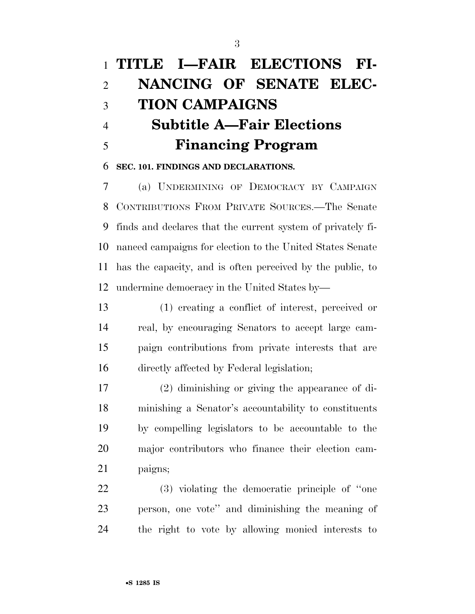# **TITLE I—FAIR ELECTIONS FI- NANCING OF SENATE ELEC- TION CAMPAIGNS Subtitle A—Fair Elections Financing Program**

### **SEC. 101. FINDINGS AND DECLARATIONS.**

 (a) UNDERMINING OF DEMOCRACY BY CAMPAIGN CONTRIBUTIONS FROM PRIVATE SOURCES.—The Senate finds and declares that the current system of privately fi- nanced campaigns for election to the United States Senate has the capacity, and is often perceived by the public, to undermine democracy in the United States by—

 (1) creating a conflict of interest, perceived or real, by encouraging Senators to accept large cam- paign contributions from private interests that are directly affected by Federal legislation;

 (2) diminishing or giving the appearance of di- minishing a Senator's accountability to constituents by compelling legislators to be accountable to the major contributors who finance their election cam-paigns;

 (3) violating the democratic principle of ''one person, one vote'' and diminishing the meaning of the right to vote by allowing monied interests to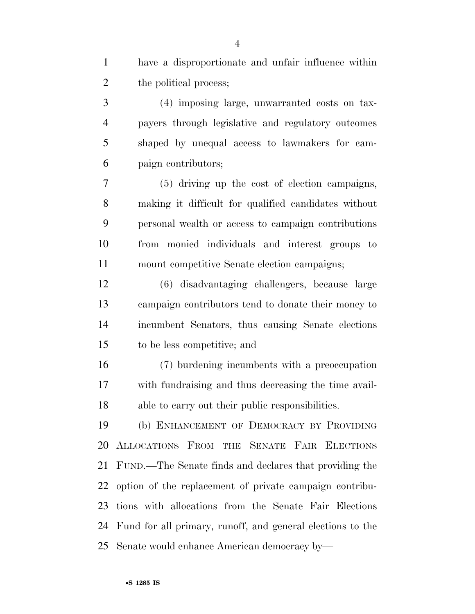have a disproportionate and unfair influence within 2 the political process;

 (4) imposing large, unwarranted costs on tax- payers through legislative and regulatory outcomes shaped by unequal access to lawmakers for cam-paign contributors;

 (5) driving up the cost of election campaigns, making it difficult for qualified candidates without personal wealth or access to campaign contributions from monied individuals and interest groups to mount competitive Senate election campaigns;

 (6) disadvantaging challengers, because large campaign contributors tend to donate their money to incumbent Senators, thus causing Senate elections to be less competitive; and

 (7) burdening incumbents with a preoccupation with fundraising and thus decreasing the time avail-able to carry out their public responsibilities.

 (b) ENHANCEMENT OF DEMOCRACY BY PROVIDING ALLOCATIONS FROM THE SENATE FAIR ELECTIONS FUND.—The Senate finds and declares that providing the option of the replacement of private campaign contribu- tions with allocations from the Senate Fair Elections Fund for all primary, runoff, and general elections to the Senate would enhance American democracy by—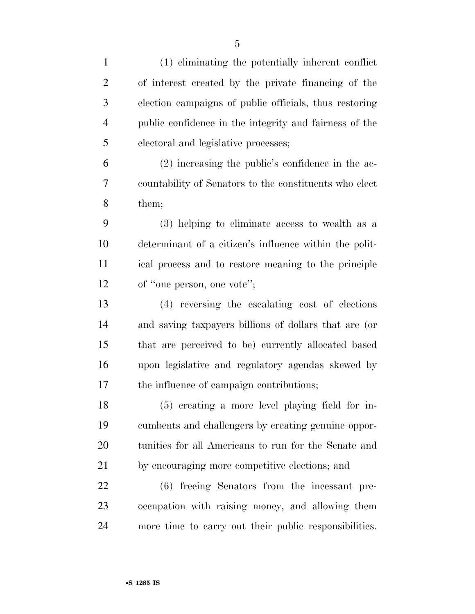| $\mathbf{1}$   | (1) eliminating the potentially inherent conflict      |
|----------------|--------------------------------------------------------|
| $\overline{2}$ | of interest created by the private financing of the    |
| 3              | election campaigns of public officials, thus restoring |
| $\overline{4}$ | public confidence in the integrity and fairness of the |
| 5              | electoral and legislative processes;                   |
| 6              | $(2)$ increasing the public's confidence in the ac-    |
| 7              | countability of Senators to the constituents who elect |
| 8              | them;                                                  |
| 9              | (3) helping to eliminate access to wealth as a         |
| 10             | determinant of a citizen's influence within the polit- |
| 11             | ical process and to restore meaning to the principle   |
| 12             | of "one person, one vote";                             |
| 13             | (4) reversing the escalating cost of elections         |
| 14             | and saving taxpayers billions of dollars that are (or  |
| 15             | that are perceived to be) currently allocated based    |
| 16             | upon legislative and regulatory agendas skewed by      |
| 17             | the influence of campaign contributions;               |
| 18             | (5) creating a more level playing field for in-        |
| 19             | cumbents and challengers by creating genuine oppor-    |
| 20             | tunities for all Americans to run for the Senate and   |
| 21             | by encouraging more competitive elections; and         |
| 22             | (6) freeing Senators from the incessant pre-           |
| 23             | occupation with raising money, and allowing them       |
| 24             | more time to carry out their public responsibilities.  |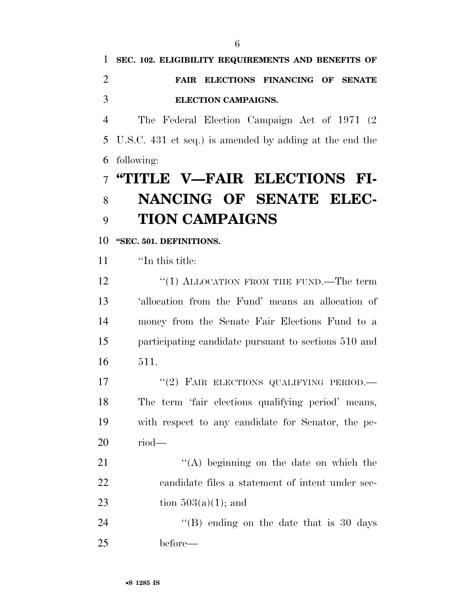## **SEC. 102. ELIGIBILITY REQUIREMENTS AND BENEFITS OF FAIR ELECTIONS FINANCING OF SENATE ELECTION CAMPAIGNS.**

 The Federal Election Campaign Act of 1971 (2 U.S.C. 431 et seq.) is amended by adding at the end the following:

# **''TITLE V—FAIR ELECTIONS FI- NANCING OF SENATE ELEC-TION CAMPAIGNS**

## **''SEC. 501. DEFINITIONS.**

''In this title:

12 "(1) ALLOCATION FROM THE FUND.—The term 'allocation from the Fund' means an allocation of money from the Senate Fair Elections Fund to a participating candidate pursuant to sections 510 and 511.

17 "(2) FAIR ELECTIONS QUALIFYING PERIOD.— The term 'fair elections qualifying period' means, with respect to any candidate for Senator, the pe-riod—

21 ''(A) beginning on the date on which the candidate files a statement of intent under sec-23 tion  $503(a)(1)$ ; and

24 "(B) ending on the date that is 30 days before—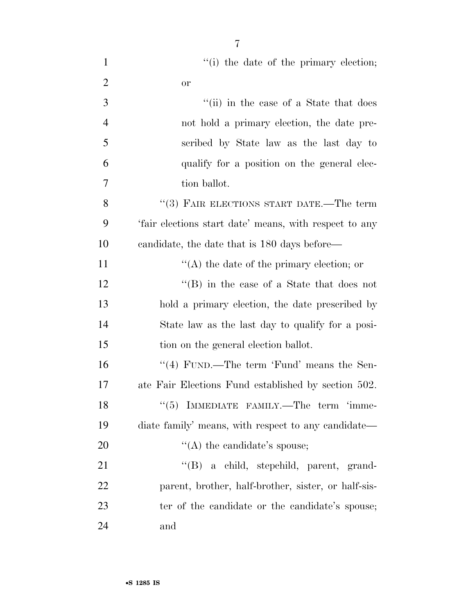| $\mathbf{1}$   | "(i) the date of the primary election;                 |
|----------------|--------------------------------------------------------|
| $\overline{2}$ | <b>or</b>                                              |
| 3              | "(ii) in the case of a State that does                 |
| 4              | not hold a primary election, the date pre-             |
| 5              | scribed by State law as the last day to                |
| 6              | qualify for a position on the general elec-            |
| 7              | tion ballot.                                           |
| 8              | "(3) FAIR ELECTIONS START DATE.—The term               |
| 9              | 'fair elections start date' means, with respect to any |
| 10             | candidate, the date that is 180 days before—           |
| 11             | $\lq\lq$ the date of the primary election; or          |
| 12             | $\lq\lq (B)$ in the case of a State that does not      |
| 13             | hold a primary election, the date prescribed by        |
| 14             | State law as the last day to qualify for a posi-       |
| 15             | tion on the general election ballot.                   |
| 16             | "(4) FUND.—The term 'Fund' means the Sen-              |
| 17             | ate Fair Elections Fund established by section 502.    |
| 18             | $``(5)$ IMMEDIATE FAMILY.—The term 'imme-              |
| 19             | diate family' means, with respect to any candidate—    |
| 20             | $\lq\lq$ the candidate's spouse;                       |
| 21             | "(B) a child, stepchild, parent, grand-                |
| 22             | parent, brother, half-brother, sister, or half-sis-    |
| 23             | ter of the candidate or the candidate's spouse;        |
| 24             | and                                                    |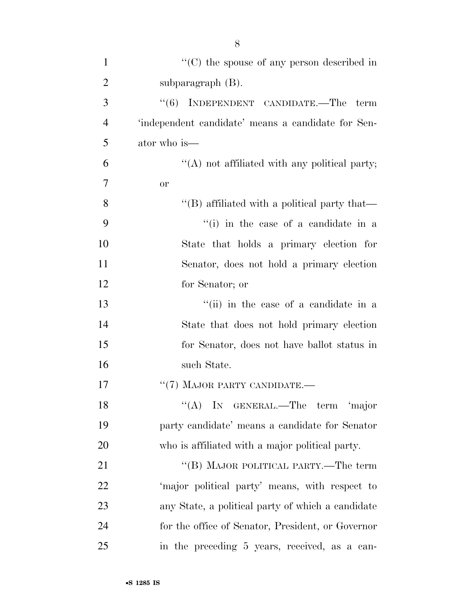| $\mathbf{1}$   | $\cdot$ (C) the spouse of any person described in    |
|----------------|------------------------------------------------------|
| $\overline{2}$ | subparagraph $(B)$ .                                 |
| 3              | INDEPENDENT CANDIDATE.—The term<br>(6)               |
| $\overline{4}$ | 'independent candidate' means a candidate for Sen-   |
| 5              | ator who is—                                         |
| 6              | "(A) not affiliated with any political party;        |
| 7              | <b>or</b>                                            |
| 8              | $\lq\lq$ (B) affiliated with a political party that— |
| 9              | "(i) in the case of a candidate in a                 |
| 10             | State that holds a primary election for              |
| 11             | Senator, does not hold a primary election            |
| 12             | for Senator; or                                      |
| 13             | "(ii) in the case of a candidate in a                |
| 14             | State that does not hold primary election            |
| 15             | for Senator, does not have ballot status in          |
| 16             | such State.                                          |
| 17             | $``(7)$ MAJOR PARTY CANDIDATE.—                      |
| 18             | $\lq\lq$ (A) IN GENERAL.—The term<br>major           |
| 19             | party candidate' means a candidate for Senator       |
| 20             | who is affiliated with a major political party.      |
| 21             | "(B) MAJOR POLITICAL PARTY.—The term                 |
| 22             | 'major political party' means, with respect to       |
| 23             | any State, a political party of which a candidate    |
| 24             | for the office of Senator, President, or Governor    |
| 25             | in the preceding 5 years, received, as a can-        |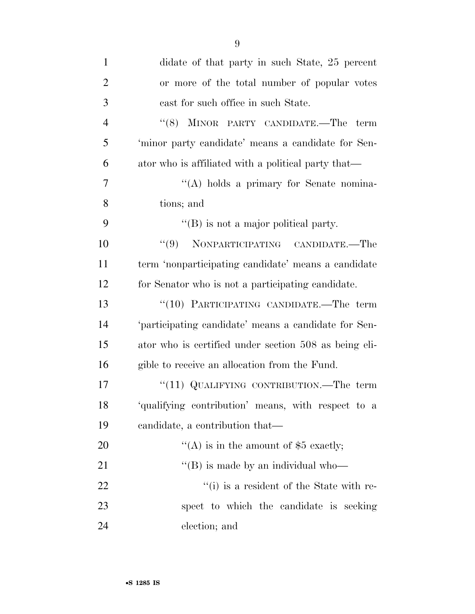| $\mathbf{1}$   | didate of that party in such State, 25 percent        |
|----------------|-------------------------------------------------------|
| $\overline{2}$ | or more of the total number of popular votes          |
| 3              | cast for such office in such State.                   |
| $\overline{4}$ | "(8) MINOR PARTY CANDIDATE.—The term                  |
| 5              | 'minor party candidate' means a candidate for Sen-    |
| 6              | ator who is affiliated with a political party that—   |
| 7              | "(A) holds a primary for Senate nomina-               |
| 8              | tions; and                                            |
| 9              | $\lq\lq (B)$ is not a major political party.          |
| 10             | "(9) NONPARTICIPATING CANDIDATE.—The                  |
| 11             | term 'nonparticipating candidate' means a candidate   |
| 12             | for Senator who is not a participating candidate.     |
| 13             | "(10) PARTICIPATING CANDIDATE.—The term               |
| 14             | 'participating candidate' means a candidate for Sen-  |
| 15             | ator who is certified under section 508 as being eli- |
| 16             | gible to receive an allocation from the Fund.         |
| 17             | "(11) QUALIFYING CONTRIBUTION.—The term               |
| 18             | 'qualifying contribution' means, with respect to a    |
| 19             | candidate, a contribution that—                       |
| 20             | "(A) is in the amount of $$5$ exactly;                |
| 21             | $\lq$ (B) is made by an individual who-               |
| 22             | "(i) is a resident of the State with re-              |
| 23             | spect to which the candidate is seeking               |
| 24             | election; and                                         |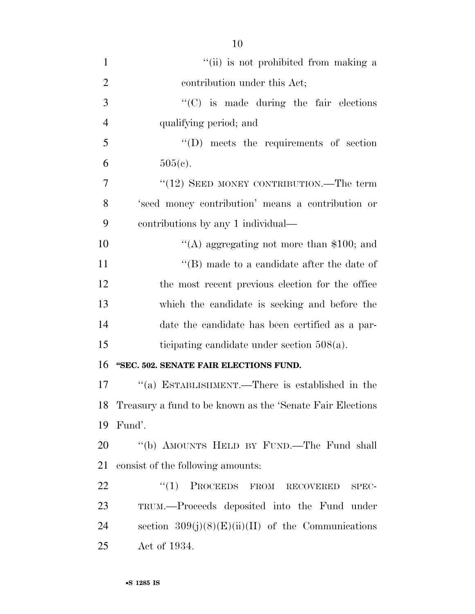| $\mathbf{1}$   | "(ii) is not prohibited from making a                      |
|----------------|------------------------------------------------------------|
| $\overline{2}$ | contribution under this Act;                               |
| 3              | $\lq\lq$ (C) is made during the fair elections             |
| $\overline{4}$ | qualifying period; and                                     |
| 5              | $\lq\lq$ (D) meets the requirements of section             |
| 6              | $505(c)$ .                                                 |
| 7              | $\cdot\cdot(12)$ SEED MONEY CONTRIBUTION.—The term         |
| 8              | 'seed money contribution' means a contribution or          |
| 9              | contributions by any 1 individual—                         |
| 10             | "(A) aggregating not more than $$100$ ; and                |
| 11             | $\lq\lq$ (B) made to a candidate after the date of         |
| 12             | the most recent previous election for the office           |
| 13             | which the candidate is seeking and before the              |
| 14             | date the candidate has been certified as a par-            |
| 15             | ticipating candidate under section $508(a)$ .              |
| 16             | "SEC. 502. SENATE FAIR ELECTIONS FUND.                     |
| 17             | "(a) ESTABLISHMENT.—There is established in the            |
| 18             | Treasury a fund to be known as the 'Senate Fair Elections' |
| 19             | Fund'.                                                     |
| 20             | "(b) AMOUNTS HELD BY FUND.—The Fund shall                  |
| 21             | consist of the following amounts:                          |
| 22             | ``(1)<br>PROCEEDS FROM RECOVERED<br>SPEC-                  |
| 23             | TRUM.—Proceeds deposited into the Fund under               |
| 24             | section $309(j)(8)(E)(ii)(II)$ of the Communications       |
| 25             | Act of 1934.                                               |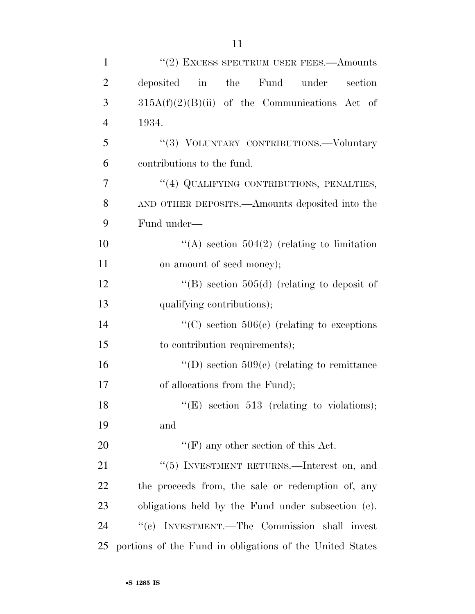| $\mathbf{1}$   | $"(2)$ EXCESS SPECTRUM USER FEES.—Amounts                |
|----------------|----------------------------------------------------------|
| $\overline{2}$ | deposited in the Fund under<br>section                   |
| 3              | $315A(f)(2)(B)(ii)$ of the Communications Act of         |
| $\overline{4}$ | 1934.                                                    |
| 5              | "(3) VOLUNTARY CONTRIBUTIONS.-Voluntary                  |
| 6              | contributions to the fund.                               |
| 7              | "(4) QUALIFYING CONTRIBUTIONS, PENALTIES,                |
| 8              | AND OTHER DEPOSITS.—Amounts deposited into the           |
| 9              | Fund under-                                              |
| 10             | "(A) section $504(2)$ (relating to limitation            |
| 11             | on amount of seed money);                                |
| 12             | "(B) section $505(d)$ (relating to deposit of            |
| 13             | qualifying contributions);                               |
| 14             | "(C) section $506(e)$ (relating to exceptions)"          |
| 15             | to contribution requirements);                           |
| 16             | "(D) section $509(c)$ (relating to remittance            |
| 17             | of allocations from the Fund);                           |
| 18             | $f'(E)$ section 513 (relating to violations);            |
| 19             | and                                                      |
| 20             | $\lq\lq(F)$ any other section of this Act.               |
| 21             | " $(5)$ INVESTMENT RETURNS.—Interest on, and             |
| 22             | the proceeds from, the sale or redemption of, any        |
| 23             | obligations held by the Fund under subsection (c).       |
| 24             | "(c) INVESTMENT.—The Commission shall invest             |
| 25             | portions of the Fund in obligations of the United States |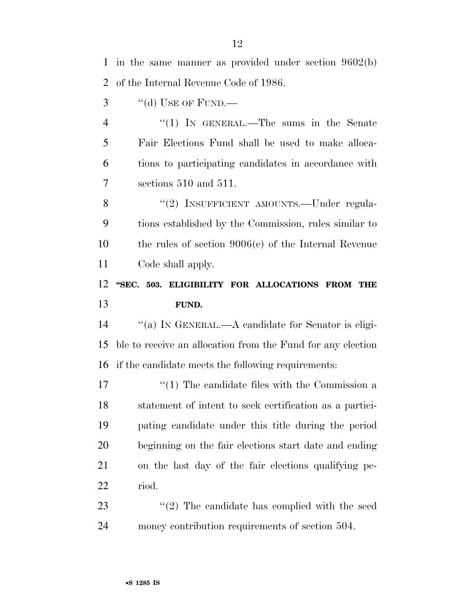in the same manner as provided under section 9602(b) of the Internal Revenue Code of 1986.

"(d) USE OF FUND.—

4 "(1) IN GENERAL.—The sums in the Senate Fair Elections Fund shall be used to make alloca- tions to participating candidates in accordance with sections 510 and 511.

8 "(2) INSUFFICIENT AMOUNTS.—Under regula- tions established by the Commission, rules similar to the rules of section 9006(c) of the Internal Revenue Code shall apply.

## **''SEC. 503. ELIGIBILITY FOR ALLOCATIONS FROM THE FUND.**

 ''(a) IN GENERAL.—A candidate for Senator is eligi- ble to receive an allocation from the Fund for any election if the candidate meets the following requirements:

17 ''(1) The candidate files with the Commission a statement of intent to seek certification as a partici- pating candidate under this title during the period beginning on the fair elections start date and ending on the last day of the fair elections qualifying pe-riod.

23 ''(2) The candidate has complied with the seed money contribution requirements of section 504.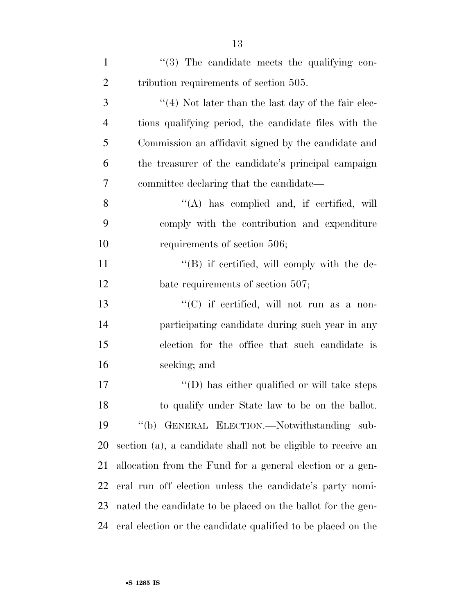| $\mathbf{1}$   | "(3) The candidate meets the qualifying con-                 |
|----------------|--------------------------------------------------------------|
| $\overline{2}$ | tribution requirements of section 505.                       |
| 3              | $\lq(4)$ Not later than the last day of the fair elec-       |
| $\overline{4}$ | tions qualifying period, the candidate files with the        |
| 5              | Commission an affidavit signed by the candidate and          |
| 6              | the treasurer of the candidate's principal campaign          |
| 7              | committee declaring that the candidate—                      |
| 8              | $\lq\lq$ has complied and, if certified, will                |
| 9              | comply with the contribution and expenditure                 |
| 10             | requirements of section 506;                                 |
| 11             | $\lq\lq (B)$ if certified, will comply with the de-          |
| 12             | bate requirements of section 507;                            |
| 13             | " $(C)$ if certified, will not run as a non-                 |
| 14             | participating candidate during such year in any              |
| 15             | election for the office that such candidate is               |
| 16             | seeking; and                                                 |
| 17             | $\lq\lq$ (D) has either qualified or will take steps         |
| 18             | to qualify under State law to be on the ballot.              |
| 19             | "(b) GENERAL ELECTION.—Notwithstanding sub-                  |
| 20             | section (a), a candidate shall not be eligible to receive an |
| 21             | allocation from the Fund for a general election or a gen-    |
| 22             | eral run off election unless the candidate's party nomi-     |
| 23             | nated the candidate to be placed on the ballot for the gen-  |
| 24             | eral election or the candidate qualified to be placed on the |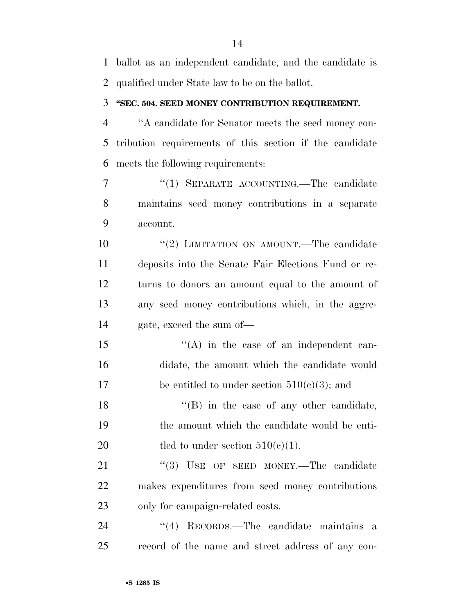ballot as an independent candidate, and the candidate is qualified under State law to be on the ballot.

### **''SEC. 504. SEED MONEY CONTRIBUTION REQUIREMENT.**

 ''A candidate for Senator meets the seed money con- tribution requirements of this section if the candidate meets the following requirements:

7 "(1) SEPARATE ACCOUNTING.—The candidate maintains seed money contributions in a separate account.

10 "(2) LIMITATION ON AMOUNT.—The candidate deposits into the Senate Fair Elections Fund or re- turns to donors an amount equal to the amount of any seed money contributions which, in the aggre-gate, exceed the sum of—

15 "(A) in the case of an independent can- didate, the amount which the candidate would 17 be entitled to under section  $510(c)(3)$ ; and

18 ''(B) in the case of any other candidate, the amount which the candidate would be enti-20 tled to under section  $510(c)(1)$ .

21 "(3) USE OF SEED MONEY.—The candidate makes expenditures from seed money contributions only for campaign-related costs.

24 ''(4) RECORDS.—The candidate maintains a record of the name and street address of any con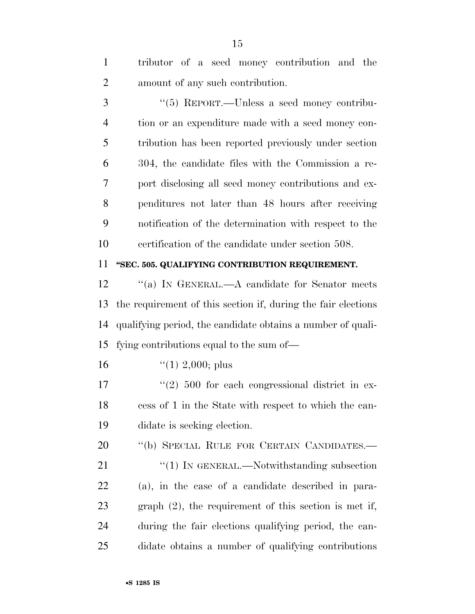tributor of a seed money contribution and the amount of any such contribution.

 ''(5) REPORT.—Unless a seed money contribu- tion or an expenditure made with a seed money con- tribution has been reported previously under section 304, the candidate files with the Commission a re- port disclosing all seed money contributions and ex- penditures not later than 48 hours after receiving notification of the determination with respect to the certification of the candidate under section 508.

### **''SEC. 505. QUALIFYING CONTRIBUTION REQUIREMENT.**

12 "(a) IN GENERAL.—A candidate for Senator meets the requirement of this section if, during the fair elections qualifying period, the candidate obtains a number of quali-fying contributions equal to the sum of—

16  $\frac{1}{2,000}$ ; plus

17 ''(2) 500 for each congressional district in ex- cess of 1 in the State with respect to which the can-didate is seeking election.

20 "(b) SPECIAL RULE FOR CERTAIN CANDIDATES.— 21 "(1) IN GENERAL.—Notwithstanding subsection (a), in the case of a candidate described in para-graph (2), the requirement of this section is met if,

during the fair elections qualifying period, the can-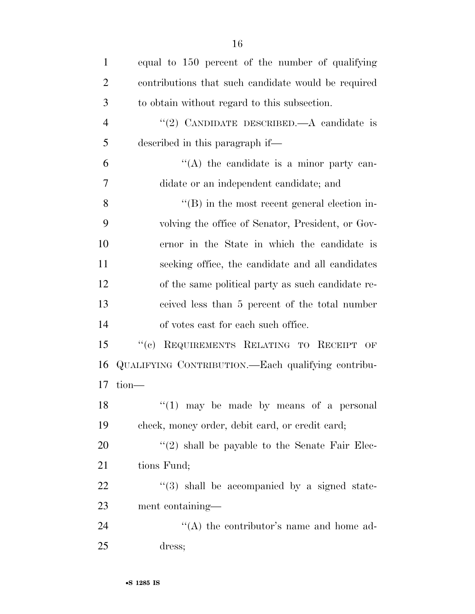| $\mathbf{1}$   | equal to 150 percent of the number of qualifying     |
|----------------|------------------------------------------------------|
| $\overline{2}$ | contributions that such candidate would be required  |
| 3              | to obtain without regard to this subsection.         |
| $\overline{4}$ | "(2) CANDIDATE DESCRIBED.—A candidate is             |
| 5              | described in this paragraph if—                      |
| 6              | $\lq\lq$ the candidate is a minor party can-         |
| 7              | didate or an independent candidate; and              |
| 8              | $\lq\lq (B)$ in the most recent general election in- |
| 9              | volving the office of Senator, President, or Gov-    |
| 10             | ernor in the State in which the candidate is         |
| 11             | seeking office, the candidate and all candidates     |
| 12             | of the same political party as such candidate re-    |
| 13             | ceived less than 5 percent of the total number       |
| 14             | of votes cast for each such office.                  |
| 15             | "(c) REQUIREMENTS RELATING TO RECEIPT OF             |
| 16             | QUALIFYING CONTRIBUTION.—Each qualifying contribu-   |
| 17             | $tion$ —                                             |
| 18             | $(1)$ may be made by means of a personal             |
| 19             | check, money order, debit card, or credit card;      |
| 20             | $\lq(2)$ shall be payable to the Senate Fair Elec-   |
| 21             | tions Fund;                                          |
| 22             | "(3) shall be accompanied by a signed state-         |
| 23             | ment containing—                                     |
| 24             | "(A) the contributor's name and home ad-             |
| 25             | dress;                                               |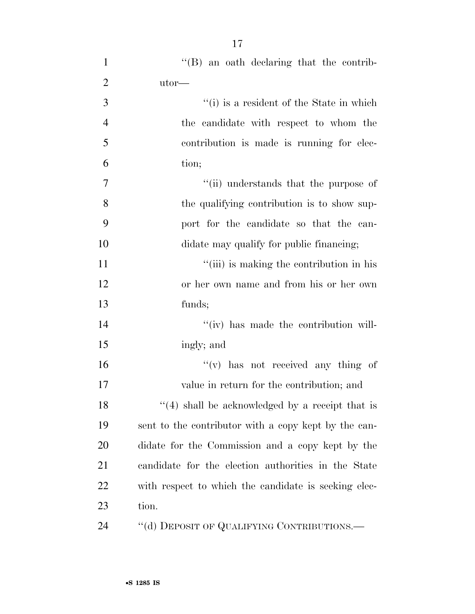| $\mathbf{1}$   | "(B) an oath declaring that the contrib-             |
|----------------|------------------------------------------------------|
| $\overline{2}$ | $utor$ —                                             |
| $\mathfrak{Z}$ | "(i) is a resident of the State in which             |
| $\overline{4}$ | the candidate with respect to whom the               |
| 5              | contribution is made is running for elec-            |
| 6              | tion;                                                |
| $\tau$         | "(ii) understands that the purpose of                |
| 8              | the qualifying contribution is to show sup-          |
| 9              | port for the candidate so that the can-              |
| 10             | didate may qualify for public financing;             |
| 11             | "(iii) is making the contribution in his             |
| 12             | or her own name and from his or her own              |
| 13             | funds;                                               |
| 14             | "(iv) has made the contribution will-                |
| 15             | ingly; and                                           |
| 16             | $f'(v)$ has not received any thing of                |
| 17             | value in return for the contribution; and            |
| 18             | $(4)$ shall be acknowledged by a receipt that is     |
| 19             | sent to the contributor with a copy kept by the can- |
| 20             | didate for the Commission and a copy kept by the     |
| 21             | candidate for the election authorities in the State  |
| 22             | with respect to which the candidate is seeking elec- |
| 23             | tion.                                                |
| 24             | "(d) DEPOSIT OF QUALIFYING CONTRIBUTIONS.—           |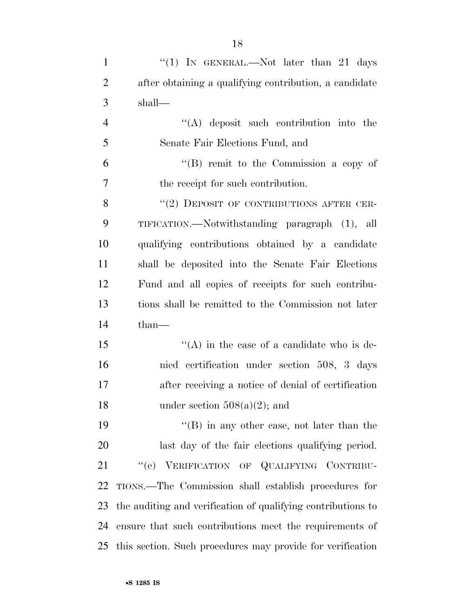| $\mathbf{1}$   | "(1) IN GENERAL.—Not later than 21 days                      |
|----------------|--------------------------------------------------------------|
| $\overline{2}$ | after obtaining a qualifying contribution, a candidate       |
| 3              | shall—                                                       |
| $\overline{4}$ | $\lq\lq$ deposit such contribution into the                  |
| 5              | Senate Fair Elections Fund, and                              |
| 6              | "(B) remit to the Commission a copy of                       |
| 7              | the receipt for such contribution.                           |
| 8              | "(2) DEPOSIT OF CONTRIBUTIONS AFTER CER-                     |
| 9              | TIFICATION.—Notwithstanding paragraph (1), all               |
| 10             | qualifying contributions obtained by a candidate             |
| 11             | shall be deposited into the Senate Fair Elections            |
| 12             | Fund and all copies of receipts for such contribu-           |
| 13             | tions shall be remitted to the Commission not later          |
| 14             | $than-$                                                      |
| 15             | "(A) in the case of a candidate who is de-                   |
| 16             | nied certification under section 508, 3 days                 |
| 17             | after receiving a notice of denial of certification          |
| 18             | under section $508(a)(2)$ ; and                              |
| 19             | $\lq\lq (B)$ in any other case, not later than the           |
| 20             | last day of the fair elections qualifying period.            |
| 21             | "(e) VERIFICATION OF QUALIFYING CONTRIBU-                    |
| 22             | TIONS.—The Commission shall establish procedures for         |
| 23             | the auditing and verification of qualifying contributions to |
| 24             | ensure that such contributions meet the requirements of      |
| 25             | this section. Such procedures may provide for verification   |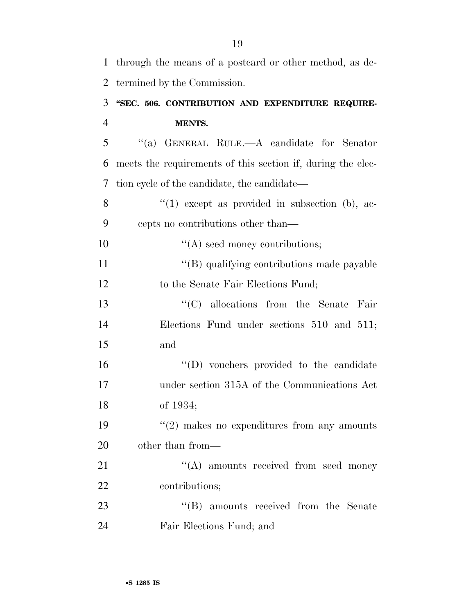| $\mathbf{1}$   | through the means of a postcard or other method, as de-     |
|----------------|-------------------------------------------------------------|
| $\overline{2}$ | termined by the Commission.                                 |
| 3              | "SEC. 506. CONTRIBUTION AND EXPENDITURE REQUIRE-            |
| $\overline{4}$ | <b>MENTS.</b>                                               |
| 5              | "(a) GENERAL RULE.—A candidate for Senator                  |
| 6              | meets the requirements of this section if, during the elec- |
| 7              | tion cycle of the candidate, the candidate—                 |
| 8              | $(1)$ except as provided in subsection (b), ac-             |
| 9              | cepts no contributions other than—                          |
| 10             | $\lq\lq$ seed money contributions;                          |
| 11             | "(B) qualifying contributions made payable                  |
| 12             | to the Senate Fair Elections Fund;                          |
| 13             | $\lq\lq$ (C) allocations from the Senate<br>Fair            |
| 14             | Elections Fund under sections 510 and 511;                  |
| 15             | and                                                         |
| 16             | "(D) vouchers provided to the candidate                     |
| 17             | under section 315A of the Communications Act                |
| 18             | of 1934;                                                    |
| 19             | $\lq(2)$ makes no expenditures from any amounts             |
| 20             | other than from—                                            |
| 21             | $\lq\lq$ amounts received from seed money                   |
| 22             | contributions;                                              |
| 23             | "(B) amounts received from the Senate                       |
| 24             | Fair Elections Fund; and                                    |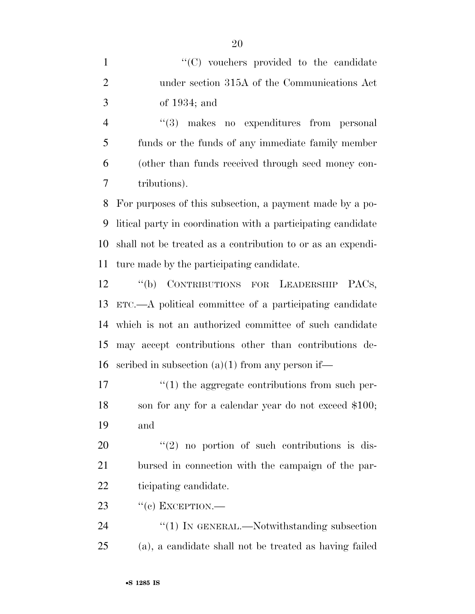1  $\lq(0)$  vouchers provided to the candidate under section 315A of the Communications Act of 1934; and

 ''(3) makes no expenditures from personal funds or the funds of any immediate family member (other than funds received through seed money con-tributions).

 For purposes of this subsection, a payment made by a po- litical party in coordination with a participating candidate shall not be treated as a contribution to or as an expendi-ture made by the participating candidate.

 ''(b) CONTRIBUTIONS FOR LEADERSHIP PACS, ETC.—A political committee of a participating candidate which is not an authorized committee of such candidate may accept contributions other than contributions de-16 seribed in subsection  $(a)(1)$  from any person if—

17  $\frac{1}{2}$  the aggregate contributions from such per- son for any for a calendar year do not exceed \$100; and

 ''(2) no portion of such contributions is dis- bursed in connection with the campaign of the par-ticipating candidate.

23  $\frac{1}{2}$   $\frac{1}{2}$   $\frac{1}{2}$  EXCEPTION.

24 "(1) IN GENERAL.—Notwithstanding subsection (a), a candidate shall not be treated as having failed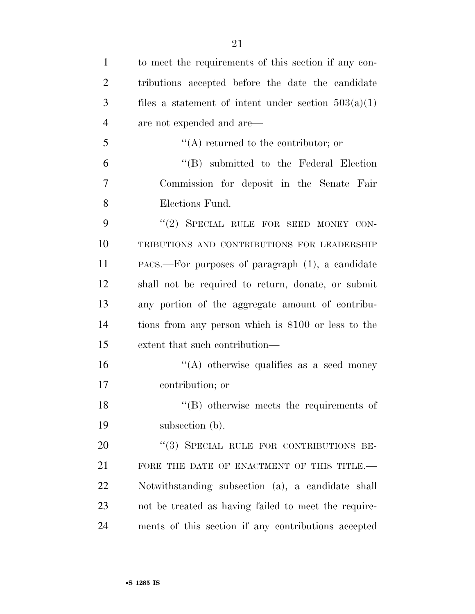| $\mathbf{1}$   | to meet the requirements of this section if any con-   |
|----------------|--------------------------------------------------------|
| $\overline{2}$ | tributions accepted before the date the candidate      |
| 3              | files a statement of intent under section $503(a)(1)$  |
| $\overline{4}$ | are not expended and are—                              |
| 5              | $\lq\lq$ returned to the contributor; or               |
| 6              | $\lq\lq$ submitted to the Federal Election             |
| 7              | Commission for deposit in the Senate Fair              |
| 8              | Elections Fund.                                        |
| 9              | "(2) SPECIAL RULE FOR SEED MONEY CON-                  |
| 10             | TRIBUTIONS AND CONTRIBUTIONS FOR LEADERSHIP            |
| 11             | $PACS$ . For purposes of paragraph $(1)$ , a candidate |
| 12             | shall not be required to return, donate, or submit     |
| 13             | any portion of the aggregate amount of contribu-       |
| 14             | tions from any person which is \$100 or less to the    |
| 15             | extent that such contribution—                         |
| 16             | "(A) otherwise qualifies as a seed money               |
| 17             | contribution; or                                       |
| 18             | $\lq\lq$ (B) otherwise meets the requirements of       |
| 19             | subsection (b).                                        |
| 20             | "(3) SPECIAL RULE FOR CONTRIBUTIONS BE-                |
| 21             | FORE THE DATE OF ENACTMENT OF THIS TITLE.-             |
| 22             | Notwithstanding subsection (a), a candidate shall      |
| 23             | not be treated as having failed to meet the require-   |
| 24             | ments of this section if any contributions accepted    |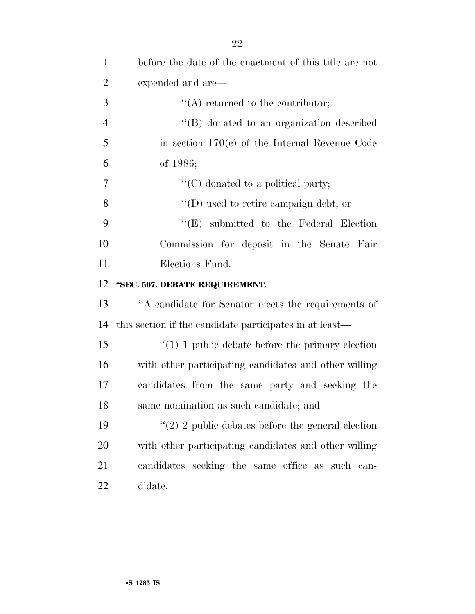| $\mathbf{1}$   | before the date of the enactment of this title are not  |
|----------------|---------------------------------------------------------|
| $\overline{2}$ | expended and are—                                       |
| 3              | $\lq\lq$ returned to the contributor;                   |
| $\overline{4}$ | "(B) donated to an organization described               |
| 5              | in section $170(c)$ of the Internal Revenue Code        |
| 6              | of 1986;                                                |
| 7              | $\lq\lq$ (C) donated to a political party;              |
| 8              | $\lq\lq$ (D) used to retire campaign debt; or           |
| 9              | $\lq\lq$ submitted to the Federal Election              |
| 10             | Commission for deposit in the Senate Fair               |
| 11             | Elections Fund.                                         |
| 12             | "SEC. 507. DEBATE REQUIREMENT.                          |
| 13             | "A candidate for Senator meets the requirements of      |
| 14             | this section if the candidate participates in at least— |
| 15             | $\lq(1)$ 1 public debate before the primary election    |
| 16             | with other participating candidates and other willing   |
| 17             | candidates from the same party and seeking the          |
| 18             | same nomination as such candidate; and                  |
| 19             | "(2) 2 public debates before the general election       |
| 20             | with other participating candidates and other willing   |
|                |                                                         |
| 21             | candidates seeking the same office as such can-         |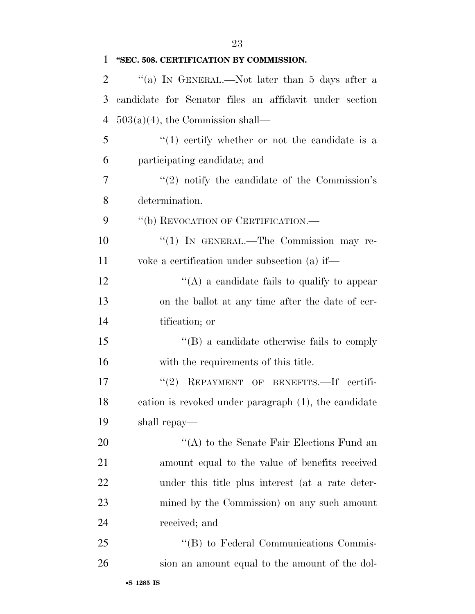| 1              | "SEC. 508. CERTIFICATION BY COMMISSION.                       |
|----------------|---------------------------------------------------------------|
| $\overline{2}$ | "(a) IN GENERAL.—Not later than 5 days after a                |
| 3              | candidate for Senator files an affidavit under section        |
| $\overline{4}$ | $503(a)(4)$ , the Commission shall—                           |
| 5              | $\lq(1)$ certify whether or not the candidate is a            |
| 6              | participating candidate; and                                  |
| 7              | $\cdot\cdot\cdot(2)$ notify the candidate of the Commission's |
| 8              | determination.                                                |
| 9              | "(b) REVOCATION OF CERTIFICATION.—                            |
| 10             | "(1) IN GENERAL.—The Commission may re-                       |
| 11             | voke a certification under subsection (a) if—                 |
| 12             | "(A) a candidate fails to qualify to appear                   |
| 13             | on the ballot at any time after the date of cer-              |
| 14             | tification; or                                                |
| 15             | $\lq\lq (B)$ a candidate otherwise fails to comply            |
| 16             | with the requirements of this title.                          |
| 17             | (2)<br>REPAYMENT OF BENEFITS.-If certifi-                     |
| 18             | cation is revoked under paragraph (1), the candidate          |
| 19             | shall repay—                                                  |
| 20             | "(A) to the Senate Fair Elections Fund an                     |
| 21             | amount equal to the value of benefits received                |
| 22             | under this title plus interest (at a rate deter-              |
| 23             | mined by the Commission) on any such amount                   |
| 24             | received; and                                                 |
| 25             | "(B) to Federal Communications Commis-                        |
| 26             | sion an amount equal to the amount of the dol-                |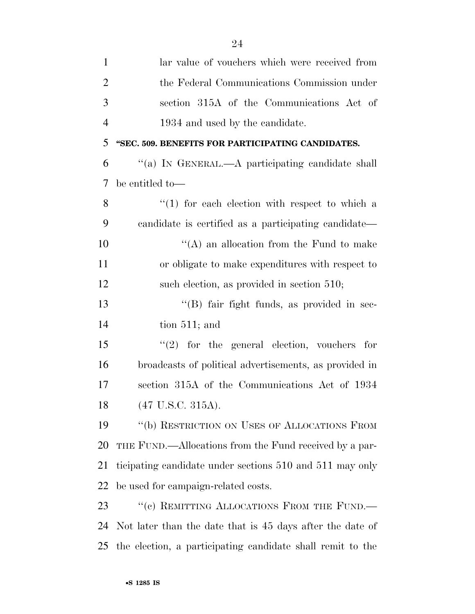| $\mathbf{1}$   | lar value of vouchers which were received from             |
|----------------|------------------------------------------------------------|
| $\overline{2}$ | the Federal Communications Commission under                |
| 3              | section 315A of the Communications Act of                  |
| $\overline{4}$ | 1934 and used by the candidate.                            |
| 5              | "SEC. 509. BENEFITS FOR PARTICIPATING CANDIDATES.          |
| 6              | "(a) IN GENERAL.—A participating candidate shall           |
| 7              | be entitled to-                                            |
| 8              | $(1)$ for each election with respect to which a            |
| 9              | candidate is certified as a participating candidate—       |
| 10             | $\lq\lq$ an allocation from the Fund to make               |
| 11             | or obligate to make expenditures with respect to           |
| 12             | such election, as provided in section 510;                 |
| 13             | "(B) fair fight funds, as provided in sec-                 |
| 14             | tion $511$ ; and                                           |
| 15             | $(2)$ for the general election, vouchers for               |
| 16             | broadcasts of political advertisements, as provided in     |
| 17             | section 315A of the Communications Act of 1934             |
| 18             | $(47 \text{ U.S.C. } 315 \text{A}).$                       |
| 19             | "(b) RESTRICTION ON USES OF ALLOCATIONS FROM               |
| 20             | THE FUND.—Allocations from the Fund received by a par-     |
| 21             | ticipating candidate under sections 510 and 511 may only   |
| 22             | be used for campaign-related costs.                        |
| 23             | "(c) REMITTING ALLOCATIONS FROM THE FUND.-                 |
| 24             | Not later than the date that is 45 days after the date of  |
| 25             | the election, a participating candidate shall remit to the |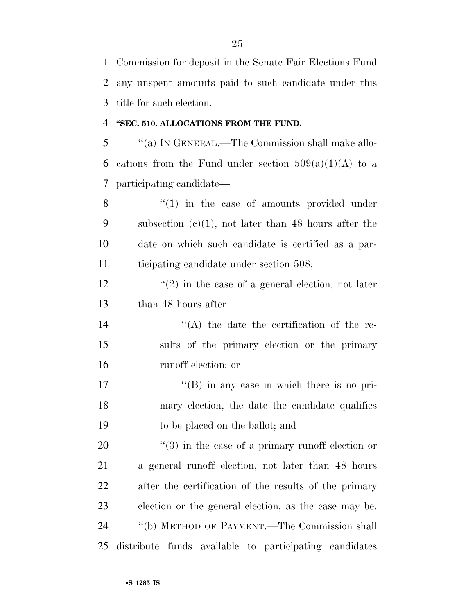Commission for deposit in the Senate Fair Elections Fund any unspent amounts paid to such candidate under this title for such election.

### **''SEC. 510. ALLOCATIONS FROM THE FUND.**

 ''(a) IN GENERAL.—The Commission shall make allo-6 cations from the Fund under section  $509(a)(1)(A)$  to a participating candidate—

8 "(1) in the case of amounts provided under subsection (c)(1), not later than 48 hours after the date on which such candidate is certified as a par-ticipating candidate under section 508;

 $\frac{12}{2}$  ''(2) in the case of a general election, not later than 48 hours after—

14  $\langle (A)$  the date the certification of the re- sults of the primary election or the primary runoff election; or

17 ''(B) in any case in which there is no pri- mary election, the date the candidate qualifies to be placed on the ballot; and

 $\frac{u(3)}{2}$  in the case of a primary runoff election or a general runoff election, not later than 48 hours after the certification of the results of the primary election or the general election, as the case may be. ''(b) METHOD OF PAYMENT.—The Commission shall distribute funds available to participating candidates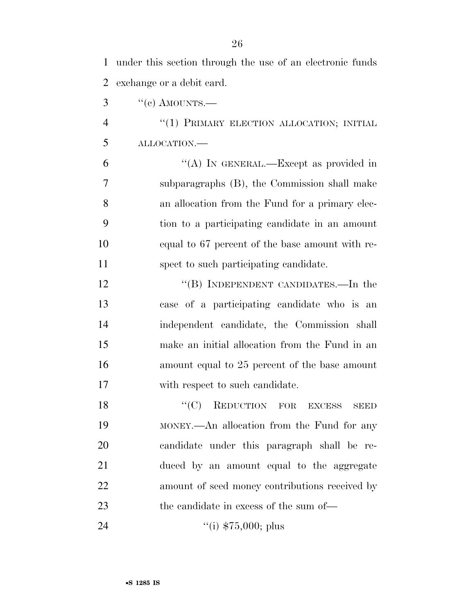| $\mathbf{1}$   | under this section through the use of an electronic funds |
|----------------|-----------------------------------------------------------|
| $\overline{2}$ | exchange or a debit card.                                 |
| 3              | $``(c)$ AMOUNTS.—                                         |
| $\overline{4}$ | "(1) PRIMARY ELECTION ALLOCATION; INITIAL                 |
| 5              | ALLOCATION.                                               |
| 6              | "(A) IN GENERAL.—Except as provided in                    |
| 7              | subparagraphs (B), the Commission shall make              |
| 8              | an allocation from the Fund for a primary elec-           |
| 9              | tion to a participating candidate in an amount            |
| 10             | equal to 67 percent of the base amount with re-           |
| 11             | spect to such participating candidate.                    |
| 12             | "(B) INDEPENDENT CANDIDATES.—In the                       |
| 13             | case of a participating candidate who is an               |
| 14             | independent candidate, the Commission shall               |
| 15             | make an initial allocation from the Fund in an            |
| 16             | amount equal to 25 percent of the base amount             |
| 17             | with respect to such candidate.                           |
| 18             | REDUCTION FOR EXCESS<br>``(C)<br>SEED                     |
| 19             | MONEY.—An allocation from the Fund for any                |
| 20             | candidate under this paragraph shall be re-               |
| 21             | duced by an amount equal to the aggregate                 |
| 22             | amount of seed money contributions received by            |
| 23             | the candidate in excess of the sum of—                    |
|                |                                                           |

24 ''(i) \$75,000; plus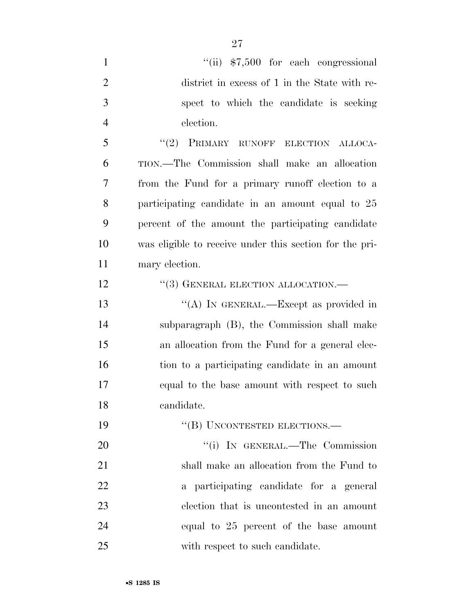- 1 ''(ii)  $$7,500$  for each congressional district in excess of 1 in the State with re- spect to which the candidate is seeking election. 5 "(2) PRIMARY RUNOFF ELECTION ALLOCA- TION.—The Commission shall make an allocation from the Fund for a primary runoff election to a participating candidate in an amount equal to 25 percent of the amount the participating candidate was eligible to receive under this section for the pri- mary election. 12 "(3) GENERAL ELECTION ALLOCATION.— 13 "(A) IN GENERAL.—Except as provided in subparagraph (B), the Commission shall make an allocation from the Fund for a general elec- tion to a participating candidate in an amount equal to the base amount with respect to such candidate. 19 "(B) UNCONTESTED ELECTIONS.— 20 "'(i) IN GENERAL.—The Commission shall make an allocation from the Fund to a participating candidate for a general election that is uncontested in an amount equal to 25 percent of the base amount
- 25 with respect to such candidate.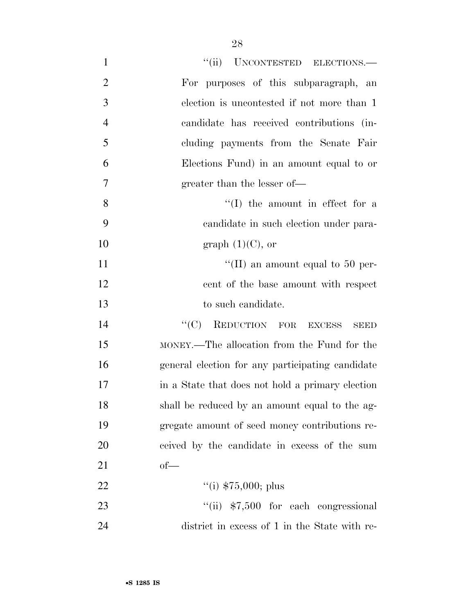| $\mathbf{1}$   | "(ii) UNCONTESTED ELECTIONS.-                    |
|----------------|--------------------------------------------------|
| $\overline{2}$ | For purposes of this subparagraph, an            |
| 3              | election is uncontested if not more than 1       |
| $\overline{4}$ | candidate has received contributions (in-        |
| 5              | cluding payments from the Senate Fair            |
| 6              | Elections Fund) in an amount equal to or         |
| $\overline{7}$ | greater than the lesser of—                      |
| 8              | $\lq\lq$ the amount in effect for a              |
| 9              | candidate in such election under para-           |
| 10             | graph $(1)(C)$ , or                              |
| 11             | "(II) an amount equal to 50 per-                 |
| 12             | cent of the base amount with respect             |
| 13             | to such candidate.                               |
| 14             | "(C) REDUCTION FOR EXCESS<br><b>SEED</b>         |
| 15             | MONEY.—The allocation from the Fund for the      |
| 16             | general election for any participating candidate |
| 17             | in a State that does not hold a primary election |
| 18             | shall be reduced by an amount equal to the ag-   |
| 19             | gregate amount of seed money contributions re-   |
| 20             | ceived by the candidate in excess of the sum     |
| 21             | $of$ —                                           |
| 22             | "(i) $$75,000;$ plus                             |
| 23             | $``(ii)$ \$7,500 for each congressional          |
| 24             | district in excess of 1 in the State with re-    |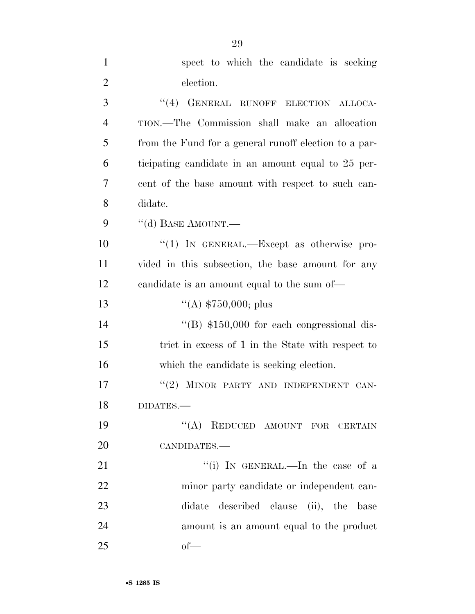| $\mathbf{1}$   | spect to which the candidate is seeking               |
|----------------|-------------------------------------------------------|
| $\overline{2}$ | election.                                             |
| 3              | "(4) GENERAL RUNOFF ELECTION ALLOCA-                  |
| $\overline{4}$ | TION.—The Commission shall make an allocation         |
| 5              | from the Fund for a general runoff election to a par- |
| 6              | ticipating candidate in an amount equal to 25 per-    |
| 7              | cent of the base amount with respect to such can-     |
| 8              | didate.                                               |
| 9              | "(d) BASE AMOUNT.—                                    |
| 10             | "(1) IN GENERAL.—Except as otherwise pro-             |
| 11             | vided in this subsection, the base amount for any     |
| 12             | candidate is an amount equal to the sum of—           |
| 13             | "(A) $$750,000;$ plus                                 |
| 14             | $\cdot$ (B) \$150,000 for each congressional dis-     |
| 15             | trict in excess of 1 in the State with respect to     |
| 16             | which the candidate is seeking election.              |
| 17             | "(2) MINOR PARTY AND INDEPENDENT CAN-                 |
| 18             | DIDATES.-                                             |
| 19             | "(A) REDUCED AMOUNT FOR CERTAIN                       |
| 20             | CANDIDATES.-                                          |
| 21             | "(i) IN GENERAL.—In the case of a                     |
| 22             | minor party candidate or independent can-             |
| 23             | described clause (ii), the<br>didate<br>base          |
| 24             | amount is an amount equal to the product              |
| 25             | $of$ —                                                |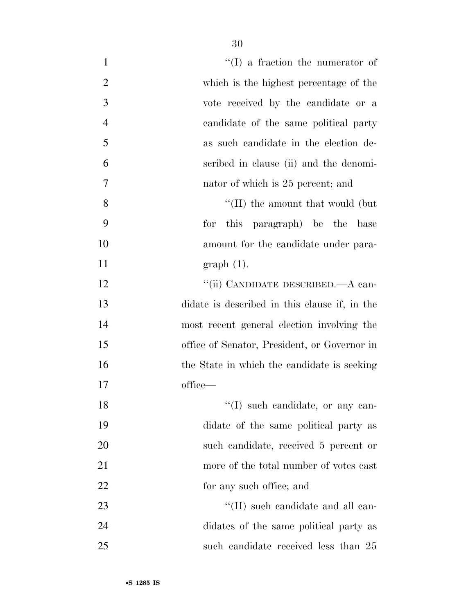| $\mathbf{1}$   | $``(I)$ a fraction the numerator of           |
|----------------|-----------------------------------------------|
| $\overline{2}$ | which is the highest percentage of the        |
| 3              | vote received by the candidate or a           |
| $\overline{4}$ | candidate of the same political party         |
| 5              | as such candidate in the election de-         |
| 6              | scribed in clause (ii) and the denomi-        |
| $\tau$         | nator of which is 25 percent; and             |
| 8              | $\lq$ (II) the amount that would (but)        |
| 9              | for<br>this paragraph) be the<br>base         |
| 10             | amount for the candidate under para-          |
| 11             | $graph(1)$ .                                  |
| 12             | "(ii) CANDIDATE DESCRIBED.—A can-             |
| 13             | didate is described in this clause if, in the |
| 14             | most recent general election involving the    |
| 15             | office of Senator, President, or Governor in  |
| 16             | the State in which the candidate is seeking   |
| 17             | office—                                       |
| 18             | "(I) such candidate, or any can-              |
| 19             | didate of the same political party as         |
| 20             | such candidate, received 5 percent or         |
| 21             | more of the total number of votes cast        |
| 22             | for any such office; and                      |
| 23             | $\lq\lq$ (II) such candidate and all can-     |
| 24             | didates of the same political party as        |
| 25             | such candidate received less than 25          |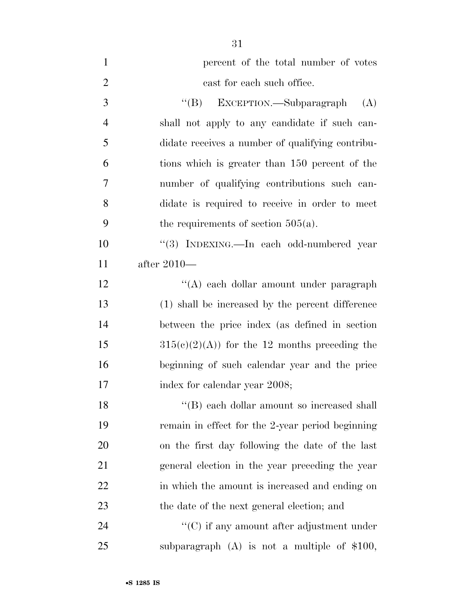| $\mathbf{1}$   | percent of the total number of votes             |
|----------------|--------------------------------------------------|
| $\overline{2}$ | cast for each such office.                       |
| 3              | "(B) EXCEPTION.—Subparagraph<br>(A)              |
| $\overline{4}$ | shall not apply to any candidate if such can-    |
| 5              | didate receives a number of qualifying contribu- |
| 6              | tions which is greater than 150 percent of the   |
| 7              | number of qualifying contributions such can-     |
| 8              | didate is required to receive in order to meet   |
| 9              | the requirements of section $505(a)$ .           |
| 10             | "(3) INDEXING.—In each odd-numbered year         |
| 11             | after $2010-$                                    |
| 12             | "(A) each dollar amount under paragraph          |
| 13             | (1) shall be increased by the percent difference |
| 14             | between the price index (as defined in section   |
| 15             | $315(c)(2)(A)$ for the 12 months preceding the   |
| 16             | beginning of such calendar year and the price    |
| 17             | index for calendar year 2008;                    |
| 18             | "(B) each dollar amount so increased shall       |
| 19             | remain in effect for the 2-year period beginning |
| 20             | on the first day following the date of the last  |
| 21             | general election in the year preceding the year  |
| <u>22</u>      | in which the amount is increased and ending on   |
| 23             | the date of the next general election; and       |
| 24             | $\cdot$ (C) if any amount after adjustment under |
| 25             | subparagraph $(A)$ is not a multiple of \$100,   |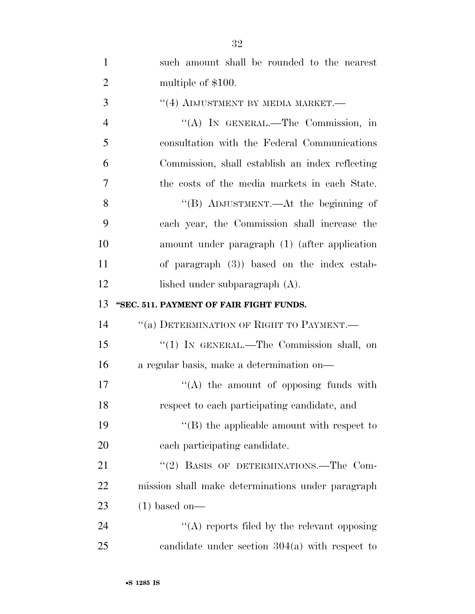| $\mathbf{1}$   | such amount shall be rounded to the nearest       |
|----------------|---------------------------------------------------|
| $\overline{2}$ | multiple of \$100.                                |
| 3              | $``(4)$ ADJUSTMENT BY MEDIA MARKET.—              |
| $\overline{4}$ | "(A) IN GENERAL.—The Commission, in               |
| 5              | consultation with the Federal Communications      |
| 6              | Commission, shall establish an index reflecting   |
| $\overline{7}$ | the costs of the media markets in each State.     |
| 8              | "(B) ADJUSTMENT.—At the beginning of              |
| 9              | each year, the Commission shall increase the      |
| 10             | amount under paragraph (1) (after application     |
| 11             | of paragraph $(3)$ ) based on the index estab-    |
| 12             | lished under subparagraph (A).                    |
| 13             | "SEC. 511. PAYMENT OF FAIR FIGHT FUNDS.           |
| 14             | "(a) DETERMINATION OF RIGHT TO PAYMENT.-          |
| 15             | " $(1)$ IN GENERAL.—The Commission shall, on      |
| 16             | a regular basis, make a determination on—         |
| 17             | $\lq\lq$ the amount of opposing funds with        |
| 18             | respect to each participating candidate, and      |
| 19             | $\lq\lq$ the applicable amount with respect to    |
| 20             | each participating candidate.                     |
| 21             | "(2) BASIS OF DETERMINATIONS.—The Com-            |
| 22             | mission shall make determinations under paragraph |
| 23             | $(1)$ based on—                                   |
| 24             | "(A) reports filed by the relevant opposing       |
| 25             | candidate under section $304(a)$ with respect to  |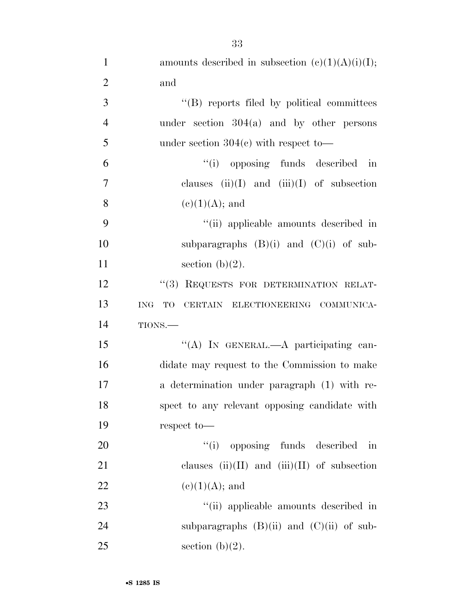| $\mathbf{1}$   | amounts described in subsection $(c)(1)(A)(i)(I);$    |
|----------------|-------------------------------------------------------|
| $\overline{2}$ | and                                                   |
| 3              | "(B) reports filed by political committees            |
| $\overline{4}$ | under section $304(a)$ and by other persons           |
| 5              | under section $304(c)$ with respect to-               |
| 6              | "(i) opposing funds described in                      |
| 7              | clauses $(ii)(I)$ and $(iii)(I)$ of subsection        |
| 8              | $(e)(1)(A);$ and                                      |
| 9              | "(ii) applicable amounts described in                 |
| 10             | subparagraphs $(B)(i)$ and $(C)(i)$ of sub-           |
| 11             | section $(b)(2)$ .                                    |
| 12             | "(3) REQUESTS FOR DETERMINATION RELAT-                |
| 13             | TO<br>CERTAIN ELECTIONEERING COMMUNICA-<br><b>ING</b> |
| 14             | TIONS.                                                |
| 15             | "(A) IN GENERAL.—A participating can-                 |
| 16             | didate may request to the Commission to make          |
| 17             | a determination under paragraph (1) with re-          |
| 18             | spect to any relevant opposing candidate with         |
| 19             | respect to-                                           |
| 20             | "(i) opposing funds described in                      |
| 21             | clauses $(ii)(II)$ and $(iii)(II)$ of subsection      |
| 22             | $(e)(1)(A);$ and                                      |
| 23             | "(ii) applicable amounts described in                 |
| 24             | subparagraphs $(B)(ii)$ and $(C)(ii)$ of sub-         |
| 25             | section $(b)(2)$ .                                    |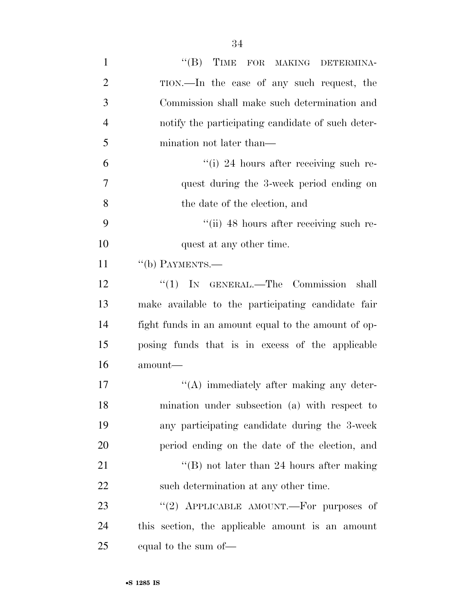| $\mathbf{1}$   | "(B) TIME FOR MAKING DETERMINA-                     |
|----------------|-----------------------------------------------------|
| $\overline{2}$ | TION.—In the case of any such request, the          |
| 3              | Commission shall make such determination and        |
| $\overline{4}$ | notify the participating candidate of such deter-   |
| 5              | mination not later than—                            |
| 6              | "(i) 24 hours after receiving such re-              |
| 7              | quest during the 3-week period ending on            |
| 8              | the date of the election, and                       |
| 9              | "(ii) 48 hours after receiving such re-             |
| 10             | quest at any other time.                            |
| 11             | $``$ (b) PAYMENTS.—                                 |
| 12             | "(1) IN GENERAL.—The Commission shall               |
| 13             | make available to the participating candidate fair  |
| 14             | fight funds in an amount equal to the amount of op- |
| 15             | posing funds that is in excess of the applicable    |
| 16             | amount-                                             |
| 17             | $\lq\lq$ immediately after making any deter-        |
| 18             | mination under subsection (a) with respect to       |
| 19             | any participating candidate during the 3-week       |
| 20             | period ending on the date of the election, and      |
| 21             | "(B) not later than 24 hours after making           |
| 22             | such determination at any other time.               |
| 23             | "(2) APPLICABLE AMOUNT.—For purposes of             |
| 24             | this section, the applicable amount is an amount    |
| 25             | equal to the sum of—                                |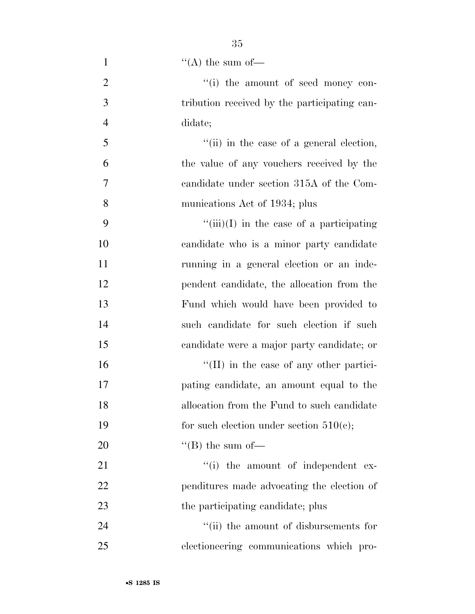| $\mathbf{1}$   | "(A) the sum of $-$                              |
|----------------|--------------------------------------------------|
| $\overline{2}$ | "(i) the amount of seed money con-               |
| 3              | tribution received by the participating can-     |
| $\overline{4}$ | didate;                                          |
| 5              | "(ii) in the case of a general election,         |
| 6              | the value of any vouchers received by the        |
| 7              | candidate under section 315A of the Com-         |
| 8              | munications Act of 1934; plus                    |
| 9              | $\lq\lq$ (iii)(I) in the case of a participating |
| 10             | candidate who is a minor party candidate         |
| 11             | running in a general election or an inde-        |
| 12             | pendent candidate, the allocation from the       |
| 13             | Fund which would have been provided to           |
| 14             | such candidate for such election if such         |
| 15             | candidate were a major party candidate; or       |
| 16             | $\lq$ (II) in the case of any other partici-     |
| 17             | pating candidate, an amount equal to the         |
| 18             | allocation from the Fund to such candidate       |
| 19             | for such election under section $510(c)$ ;       |
| 20             | "(B) the sum of $-$                              |
| 21             | "(i) the amount of independent ex-               |
| 22             | penditures made advocating the election of       |
| 23             | the participating candidate; plus                |
| 24             | "(ii) the amount of disbursements for            |
| 25             | electioneering communications which pro-         |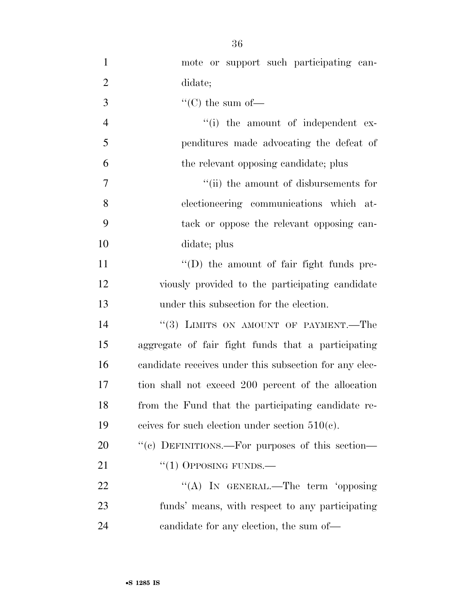| $\mathbf{1}$   | mote or support such participating can-                |
|----------------|--------------------------------------------------------|
| $\overline{2}$ | didate;                                                |
| 3              | "(C) the sum of-                                       |
| $\overline{4}$ | "(i) the amount of independent ex-                     |
| 5              | penditures made advocating the defeat of               |
| 6              | the relevant opposing candidate; plus                  |
| $\overline{7}$ | "(ii) the amount of disbursements for                  |
| 8              | electioneering communications which at-                |
| 9              | tack or oppose the relevant opposing can-              |
| 10             | didate; plus                                           |
| 11             | "(D) the amount of fair fight funds pre-               |
| 12             | viously provided to the participating candidate        |
| 13             | under this subsection for the election.                |
|                |                                                        |
| 14             | "(3) LIMITS ON AMOUNT OF PAYMENT.—The                  |
| 15             | aggregate of fair fight funds that a participating     |
| 16             | candidate receives under this subsection for any elec- |
| 17             | tion shall not exceed 200 percent of the allocation    |
| 18             | from the Fund that the participating candidate re-     |
| 19             | ceives for such election under section $510(c)$ .      |
| 20             | "(c) DEFINITIONS.—For purposes of this section—        |
| 21             | $``(1)$ OPPOSING FUNDS.—                               |
| 22             | "(A) IN GENERAL.—The term 'opposing                    |
| 23             | funds' means, with respect to any participating        |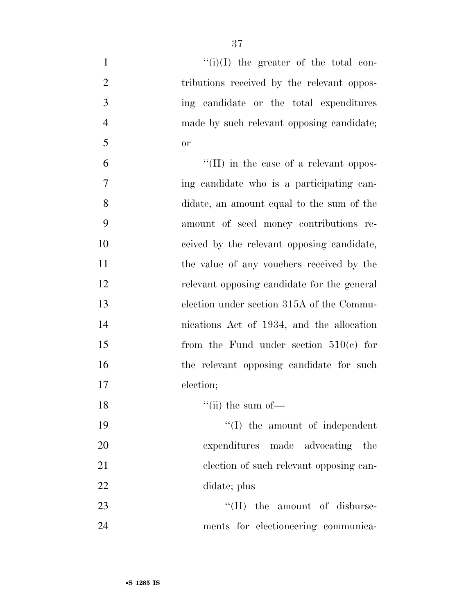| $\mathbf{1}$   | $``(i)(I)$ the greater of the total con-    |
|----------------|---------------------------------------------|
| $\overline{2}$ | tributions received by the relevant oppos-  |
| 3              | ing candidate or the total expenditures     |
| $\overline{4}$ | made by such relevant opposing candidate;   |
| 5              | or                                          |
| 6              | "(II) in the case of a relevant oppos-      |
| 7              | ing candidate who is a participating can-   |
| 8              | didate, an amount equal to the sum of the   |
| 9              | amount of seed money contributions re-      |
| 10             | ceived by the relevant opposing candidate,  |
| 11             | the value of any vouchers received by the   |
| 12             | relevant opposing candidate for the general |
| 13             | election under section 315A of the Commu-   |
| 14             | nications Act of 1934, and the allocation   |
| 15             | from the Fund under section $510(c)$ for    |
| 16             | the relevant opposing candidate for such    |
| 17             | election;                                   |
| 18             | $``$ (ii) the sum of $-$                    |
| 19             | $\lq\lq$ (I) the amount of independent      |
| 20             | expenditures made advocating the            |
| 21             | election of such relevant opposing can-     |
| 22             | didate; plus                                |
| 23             | $\lq\lq$ (II) the amount of disburse-       |
| 24             | ments for electioneering communica-         |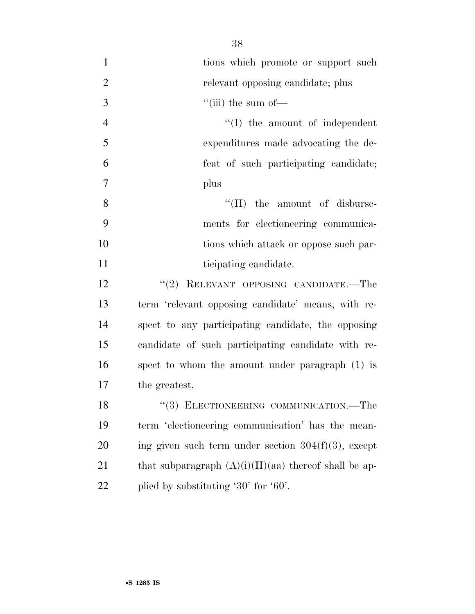1 tions which promote or support such 2 relevant opposing candidate; plus  $3$  ''(iii) the sum of 4 ''(I) the amount of independent 5 expenditures made advocating the de-6 feat of such participating candidate; 7 plus 8 ''(II) the amount of disburse-9 ments for electioneering communica-10 tions which attack or oppose such par-11 ticipating candidate. 12 "(2) RELEVANT OPPOSING CANDIDATE.—The 13 term 'relevant opposing candidate' means, with re-14 spect to any participating candidate, the opposing

15 candidate of such participating candidate with re-16 spect to whom the amount under paragraph (1) is 17 the greatest.

18 "(3) ELECTIONEERING COMMUNICATION.—The 19 term 'electioneering communication' has the mean-20 ing given such term under section  $304(f)(3)$ , except 21 that subparagraph  $(A)(i)(II)(aa)$  thereof shall be ap-22 plied by substituting '30' for '60'.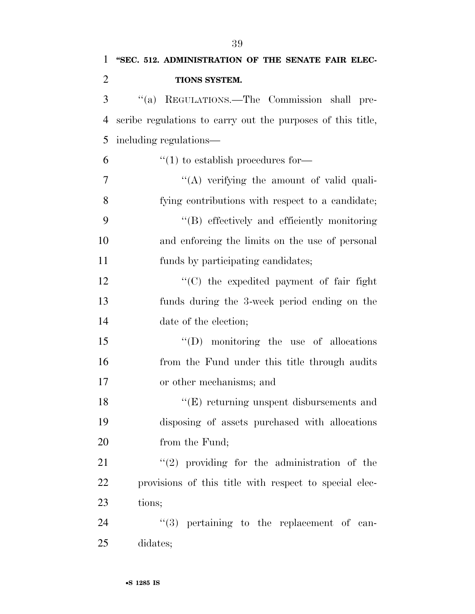| "SEC. 512. ADMINISTRATION OF THE SENATE FAIR ELEC-          |
|-------------------------------------------------------------|
| TIONS SYSTEM.                                               |
| "(a) REGULATIONS.—The Commission shall pre-                 |
| scribe regulations to carry out the purposes of this title, |
| including regulations—                                      |
| $\lq(1)$ to establish procedures for-                       |
| "(A) verifying the amount of valid quali-                   |
| fying contributions with respect to a candidate;            |
| "(B) effectively and efficiently monitoring                 |
| and enforcing the limits on the use of personal             |
| funds by participating candidates;                          |
| "(C) the expedited payment of fair fight                    |
| funds during the 3-week period ending on the                |
| date of the election;                                       |
| $\lq\lq$ (D) monitoring the use of allocations              |
| from the Fund under this title through audits               |
| or other mechanisms; and                                    |
| $\lq\lq$ returning unspent disbursements and                |
| disposing of assets purchased with allocations              |
| from the Fund;                                              |
| $(2)$ providing for the administration of the               |
| provisions of this title with respect to special elec-      |
| tions;                                                      |
| "(3) pertaining to the replacement of can-                  |
|                                                             |

25 didates;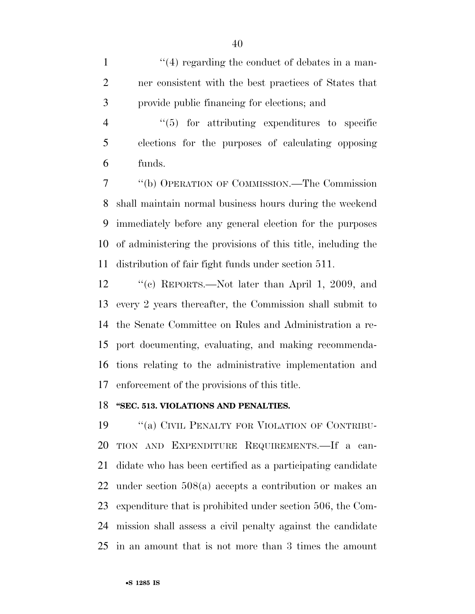1 ''(4) regarding the conduct of debates in a man- ner consistent with the best practices of States that provide public financing for elections; and

4  $\frac{4}{5}$  for attributing expenditures to specific elections for the purposes of calculating opposing funds.

 ''(b) OPERATION OF COMMISSION.—The Commission shall maintain normal business hours during the weekend immediately before any general election for the purposes of administering the provisions of this title, including the distribution of fair fight funds under section 511.

 ''(c) REPORTS.—Not later than April 1, 2009, and every 2 years thereafter, the Commission shall submit to the Senate Committee on Rules and Administration a re- port documenting, evaluating, and making recommenda- tions relating to the administrative implementation and enforcement of the provisions of this title.

## **''SEC. 513. VIOLATIONS AND PENALTIES.**

19 "(a) CIVIL PENALTY FOR VIOLATION OF CONTRIBU- TION AND EXPENDITURE REQUIREMENTS.—If a can- didate who has been certified as a participating candidate under section 508(a) accepts a contribution or makes an expenditure that is prohibited under section 506, the Com- mission shall assess a civil penalty against the candidate in an amount that is not more than 3 times the amount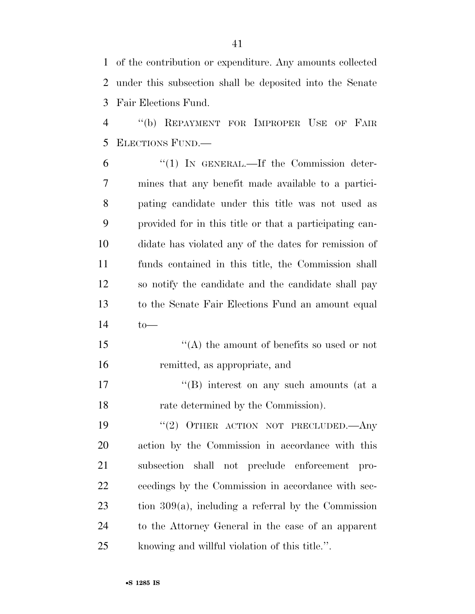of the contribution or expenditure. Any amounts collected under this subsection shall be deposited into the Senate Fair Elections Fund.

 ''(b) REPAYMENT FOR IMPROPER USE OF FAIR ELECTIONS FUND.—

 ''(1) IN GENERAL.—If the Commission deter- mines that any benefit made available to a partici- pating candidate under this title was not used as provided for in this title or that a participating can- didate has violated any of the dates for remission of funds contained in this title, the Commission shall so notify the candidate and the candidate shall pay to the Senate Fair Elections Fund an amount equal to—

15  $\langle (A)$  the amount of benefits so used or not remitted, as appropriate, and

17 ''(B) interest on any such amounts (at a rate determined by the Commission).

19 "(2) OTHER ACTION NOT PRECLUDED. Any action by the Commission in accordance with this subsection shall not preclude enforcement pro- ceedings by the Commission in accordance with sec- tion 309(a), including a referral by the Commission to the Attorney General in the case of an apparent knowing and willful violation of this title.''.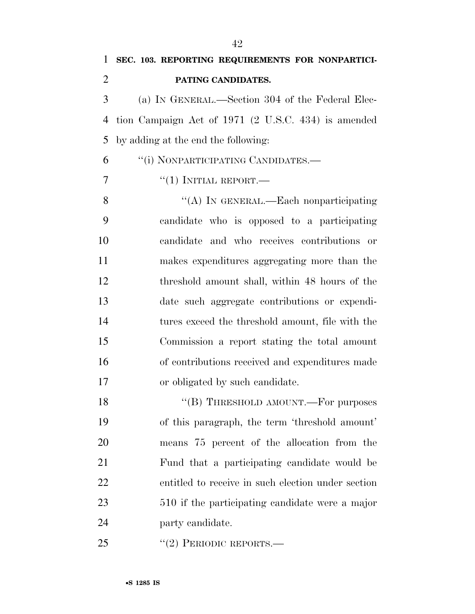(a) IN GENERAL.—Section 304 of the Federal Elec- tion Campaign Act of 1971 (2 U.S.C. 434) is amended by adding at the end the following:

''(i) NONPARTICIPATING CANDIDATES.—

 $\frac{1}{1}$   $\frac{1}{1}$  INITIAL REPORT.

8 "(A) IN GENERAL.—Each nonparticipating candidate who is opposed to a participating candidate and who receives contributions or makes expenditures aggregating more than the threshold amount shall, within 48 hours of the date such aggregate contributions or expendi- tures exceed the threshold amount, file with the Commission a report stating the total amount of contributions received and expenditures made or obligated by such candidate.

18 "(B) THRESHOLD AMOUNT.—For purposes of this paragraph, the term 'threshold amount' means 75 percent of the allocation from the Fund that a participating candidate would be entitled to receive in such election under section 510 if the participating candidate were a major party candidate.

25 "(2) PERIODIC REPORTS.—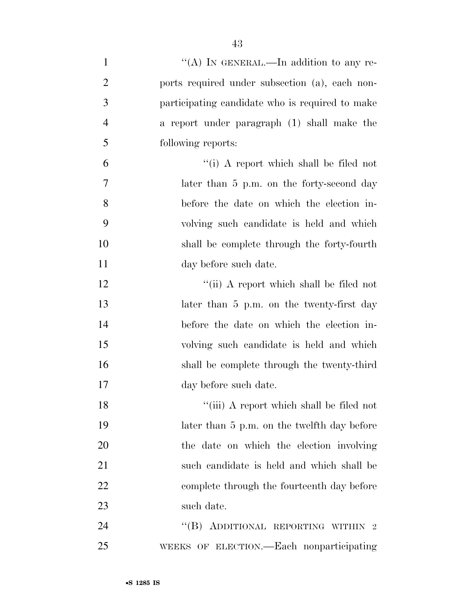| $\mathbf{1}$   | "(A) IN GENERAL.—In addition to any re-         |
|----------------|-------------------------------------------------|
| $\overline{2}$ | ports required under subsection (a), each non-  |
| 3              | participating candidate who is required to make |
| $\overline{4}$ | a report under paragraph (1) shall make the     |
| 5              | following reports:                              |
| 6              | "(i) A report which shall be filed not          |
| 7              | later than 5 p.m. on the forty-second day       |
| 8              | before the date on which the election in-       |
| 9              | volving such candidate is held and which        |
| 10             | shall be complete through the forty-fourth      |
| 11             | day before such date.                           |
| 12             | "(ii) A report which shall be filed not         |
| 13             | later than 5 p.m. on the twenty-first day       |
| 14             | before the date on which the election in-       |
| 15             | volving such candidate is held and which        |
| 16             | shall be complete through the twenty-third      |
| 17             | day before such date.                           |
| 18             | "(iii) A report which shall be filed not        |
| 19             | later than 5 p.m. on the twelfth day before     |
| 20             | the date on which the election involving        |
| 21             | such candidate is held and which shall be       |
| 22             | complete through the fourteenth day before      |
| 23             | such date.                                      |
| 24             | "(B) ADDITIONAL REPORTING WITHIN 2              |
| 25             | WEEKS OF ELECTION.—Each nonparticipating        |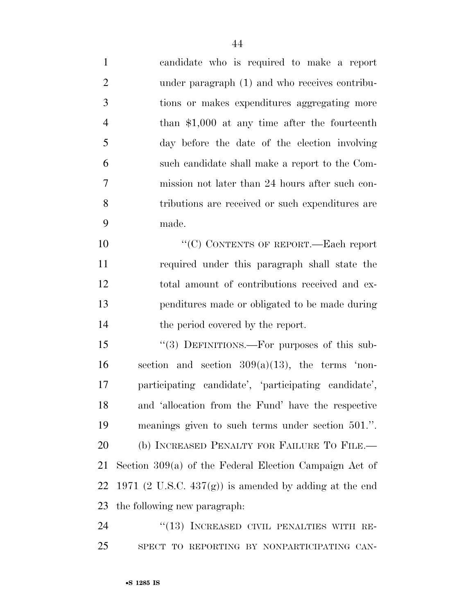candidate who is required to make a report under paragraph (1) and who receives contribu- tions or makes expenditures aggregating more than \$1,000 at any time after the fourteenth day before the date of the election involving such candidate shall make a report to the Com- mission not later than 24 hours after such con- tributions are received or such expenditures are made.

 $C(C)$  CONTENTS OF REPORT. Each report required under this paragraph shall state the total amount of contributions received and ex- penditures made or obligated to be made during 14 the period covered by the report.

 ''(3) DEFINITIONS.—For purposes of this sub-16 section and section  $309(a)(13)$ , the terms 'non- participating candidate', 'participating candidate', and 'allocation from the Fund' have the respective meanings given to such terms under section 501.''. 20 (b) INCREASED PENALTY FOR FAILURE TO FILE.— Section 309(a) of the Federal Election Campaign Act of 22 1971 (2 U.S.C.  $437(g)$ ) is amended by adding at the end the following new paragraph:

24 "(13) INCREASED CIVIL PENALTIES WITH RE-SPECT TO REPORTING BY NONPARTICIPATING CAN-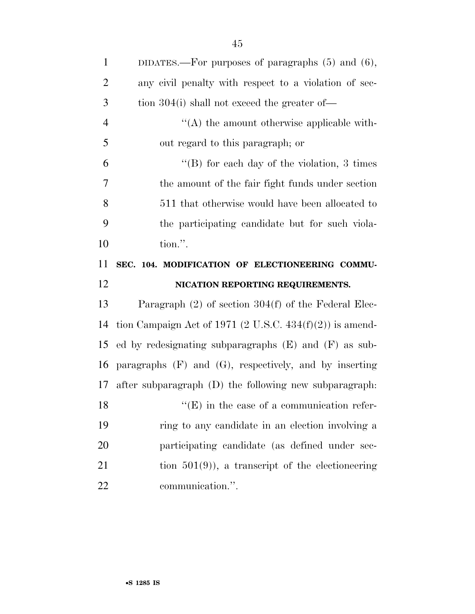| $\mathbf{1}$   | DIDATES.—For purposes of paragraphs $(5)$ and $(6)$ ,       |
|----------------|-------------------------------------------------------------|
| $\overline{2}$ | any civil penalty with respect to a violation of sec-       |
| 3              | tion $304(i)$ shall not exceed the greater of-              |
| $\overline{4}$ | $\lq\lq$ the amount otherwise applicable with-              |
| 5              | out regard to this paragraph; or                            |
| 6              | "(B) for each day of the violation, $3 \times$              |
| 7              | the amount of the fair fight funds under section            |
| 8              | 511 that otherwise would have been allocated to             |
| 9              | the participating candidate but for such viola-             |
| 10             | tion.".                                                     |
| 11             | SEC. 104. MODIFICATION OF ELECTIONEERING COMMU-             |
|                |                                                             |
| 12             | NICATION REPORTING REQUIREMENTS.                            |
| 13             | Paragraph $(2)$ of section $304(f)$ of the Federal Elec-    |
| 14             | tion Campaign Act of 1971 (2 U.S.C. $434(f)(2)$ ) is amend- |
| 15             | ed by redesignating subparagraphs $(E)$ and $(F)$ as sub-   |
| 16             | paragraphs $(F)$ and $(G)$ , respectively, and by inserting |
| 17             | after subparagraph (D) the following new subparagraph.      |
| 18             | $\lq\lq$ (E) in the case of a communication refer-          |
| 19             | ring to any candidate in an election involving a            |
| 20             | participating candidate (as defined under sec-              |
| 21             | tion $501(9)$ , a transcript of the electioneering          |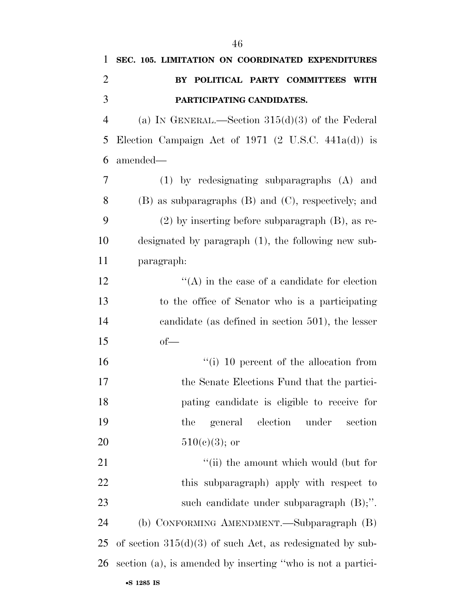| 1              | SEC. 105. LIMITATION ON COORDINATED EXPENDITURES               |
|----------------|----------------------------------------------------------------|
| $\overline{2}$ | BY POLITICAL PARTY COMMITTEES WITH                             |
| 3              | PARTICIPATING CANDIDATES.                                      |
| $\overline{4}$ | (a) IN GENERAL.—Section $315(d)(3)$ of the Federal             |
| 5              | Election Campaign Act of 1971 $(2 \text{ U.S.C. } 441a(d))$ is |
| 6              | amended-                                                       |
| 7              | $(1)$ by redesignating subparagraphs $(A)$ and                 |
| 8              | (B) as subparagraphs (B) and (C), respectively; and            |
| 9              | $(2)$ by inserting before subparagraph $(B)$ , as re-          |
| 10             | designated by paragraph (1), the following new sub-            |
| 11             | paragraph:                                                     |
| 12             | $\lq\lq$ in the case of a candidate for election               |
| 13             | to the office of Senator who is a participating                |
| 14             | candidate (as defined in section 501), the lesser              |
| 15             | $of$ —                                                         |
| 16             | $\lq\lq$ (i) 10 percent of the allocation from                 |
| 17             | the Senate Elections Fund that the partici-                    |
| 18             | pating candidate is eligible to receive for                    |
| 19             | election<br>under<br>section<br>the<br>general                 |
| 20             | $510(c)(3)$ ; or                                               |
| 21             | "(ii) the amount which would (but for                          |
| 22             | this subparagraph) apply with respect to                       |
| 23             | such candidate under subparagraph $(B)$ ;".                    |
| 24             | (b) CONFORMING AMENDMENT.—Subparagraph (B)                     |
| 25             | of section $315(d)(3)$ of such Act, as redesignated by sub-    |
| 26             | section (a), is amended by inserting "who is not a partici-    |
|                |                                                                |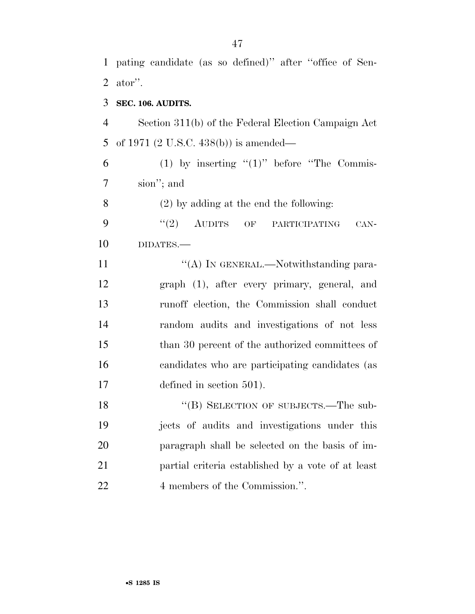ator''. **SEC. 106. AUDITS.**  Section 311(b) of the Federal Election Campaign Act of 1971 (2 U.S.C. 438(b)) is amended— 6 (1) by inserting  $(1)$  before "The Commis- sion''; and (2) by adding at the end the following: 9 "(2) AUDITS OF PARTICIPATING CAN- DIDATES.— 11 "(A) IN GENERAL.—Notwithstanding para- graph (1), after every primary, general, and runoff election, the Commission shall conduct random audits and investigations of not less 15 than 30 percent of the authorized committees of candidates who are participating candidates (as defined in section 501). 18 "(B) SELECTION OF SUBJECTS.—The sub- jects of audits and investigations under this paragraph shall be selected on the basis of im-partial criteria established by a vote of at least

pating candidate (as so defined)'' after ''office of Sen-

22 4 members of the Commission.".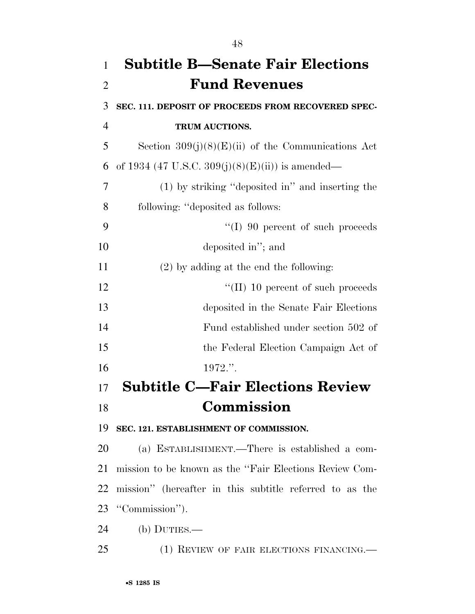| $\mathbf{1}$   | <b>Subtitle B-Senate Fair Elections</b>                 |
|----------------|---------------------------------------------------------|
| $\overline{2}$ | <b>Fund Revenues</b>                                    |
| 3              | SEC. 111. DEPOSIT OF PROCEEDS FROM RECOVERED SPEC-      |
| $\overline{4}$ | TRUM AUCTIONS.                                          |
| 5              | Section $309(j)(8)(E)(ii)$ of the Communications Act    |
| 6              | of 1934 (47 U.S.C. 309(j)(8)(E)(ii)) is amended—        |
| 7              | (1) by striking "deposited in" and inserting the        |
| 8              | following: "deposited as follows:                       |
| 9              | $\lq (I)$ 90 percent of such proceeds                   |
| 10             | deposited in"; and                                      |
| 11             | $(2)$ by adding at the end the following:               |
| 12             | $\lq\lq$ (II) 10 percent of such proceeds               |
| 13             | deposited in the Senate Fair Elections                  |
| 14             | Fund established under section 502 of                   |
| 15             | the Federal Election Campaign Act of                    |
| 16             | 1972."                                                  |
| 17             | <b>Subtitle C-Fair Elections Review</b>                 |
| 18             | Commission                                              |
| 19             | SEC. 121. ESTABLISHMENT OF COMMISSION.                  |
| 20             | (a) ESTABLISHMENT.—There is established a com-          |
| 21             | mission to be known as the "Fair Elections Review Com-  |
| 22             | mission" (hereafter in this subtitle referred to as the |
| 23             | "Commission").                                          |
| 24             | $(b)$ DUTIES.—                                          |

(1) REVIEW OF FAIR ELECTIONS FINANCING.—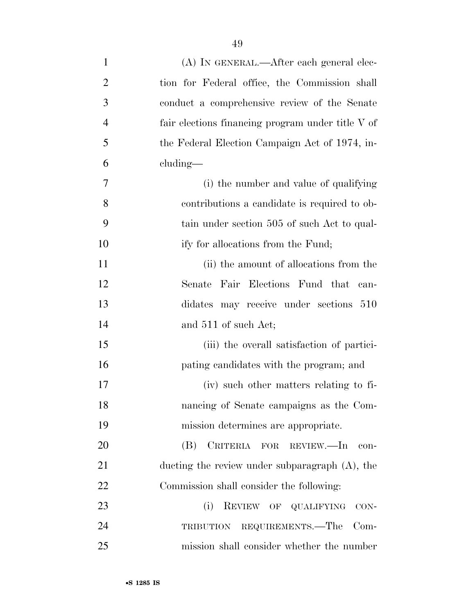| $\mathbf{1}$   | (A) IN GENERAL.—After each general elec-          |
|----------------|---------------------------------------------------|
| $\overline{2}$ | tion for Federal office, the Commission shall     |
| 3              | conduct a comprehensive review of the Senate      |
| 4              | fair elections financing program under title V of |
| 5              | the Federal Election Campaign Act of 1974, in-    |
| 6              | $cluding$ —                                       |
| 7              | (i) the number and value of qualifying            |
| 8              | contributions a candidate is required to ob-      |
| 9              | tain under section 505 of such Act to qual-       |
| 10             | ify for allocations from the Fund;                |
| 11             | (ii) the amount of allocations from the           |
| 12             | Senate Fair Elections Fund that<br>can-           |
| 13             | didates may receive under sections 510            |
| 14             | and 511 of such Act;                              |
| 15             | (iii) the overall satisfaction of partici-        |
| 16             | pating candidates with the program; and           |
| 17             | (iv) such other matters relating to fi-           |
| 18             | nancing of Senate campaigns as the Com-           |
| 19             | mission determines are appropriate.               |
| 20             | CRITERIA FOR REVIEW.—In<br>(B)<br>con-            |
| 21             | ducting the review under subparagraph $(A)$ , the |
| 22             | Commission shall consider the following:          |
| 23             | (i)<br>REVIEW OF QUALIFYING<br>$CON-$             |
| 24             | REQUIREMENTS.—The<br>$Com-$<br>TRIBUTION          |
| 25             | mission shall consider whether the number         |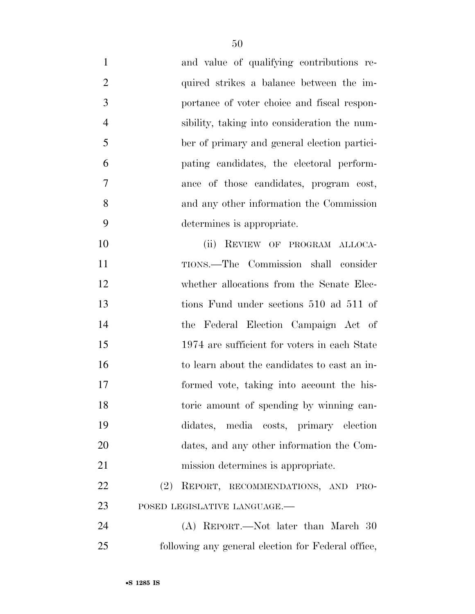| $\mathbf{1}$   | and value of qualifying contributions re-          |
|----------------|----------------------------------------------------|
| $\overline{2}$ | quired strikes a balance between the im-           |
| 3              | portance of voter choice and fiscal respon-        |
| $\overline{4}$ | sibility, taking into consideration the num-       |
| 5              | ber of primary and general election partici-       |
| 6              | pating candidates, the electoral perform-          |
| 7              | ance of those candidates, program cost,            |
| 8              | and any other information the Commission           |
| 9              | determines is appropriate.                         |
| 10             | (ii) REVIEW OF PROGRAM ALLOCA-                     |
| 11             | TIONS.—The Commission shall consider               |
| 12             | whether allocations from the Senate Elec-          |
| 13             | tions Fund under sections 510 ad 511 of            |
| 14             | the Federal Election Campaign Act of               |
| 15             | 1974 are sufficient for voters in each State       |
| 16             | to learn about the candidates to cast an in-       |
| 17             | formed vote, taking into account the his-          |
| 18             | toric amount of spending by winning can-           |
| 19             | didates, media costs, primary election             |
| 20             | dates, and any other information the Com-          |
| 21             | mission determines is appropriate.                 |
| 22             | (2)<br>REPORT, RECOMMENDATIONS, AND PRO-           |
| 23             | POSED LEGISLATIVE LANGUAGE.-                       |
| 24             | (A) REPORT.—Not later than March 30                |
| 25             | following any general election for Federal office, |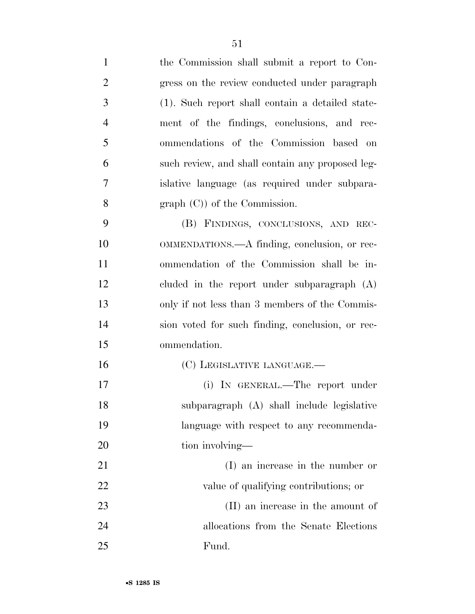| $\mathbf{1}$   | the Commission shall submit a report to Con-     |
|----------------|--------------------------------------------------|
| $\overline{2}$ | gress on the review conducted under paragraph    |
| 3              | (1). Such report shall contain a detailed state- |
| $\overline{4}$ | ment of the findings, conclusions, and rec-      |
| 5              | ommendations of the Commission based on          |
| 6              | such review, and shall contain any proposed leg- |
| 7              | islative language (as required under subpara-    |
| 8              | $graph (C)$ of the Commission.                   |
| 9              | (B) FINDINGS, CONCLUSIONS, AND REC-              |
| 10             | OMMENDATIONS.—A finding, conclusion, or rec-     |
| 11             | ommendation of the Commission shall be in-       |
| 12             | cluded in the report under subparagraph $(A)$    |
| 13             | only if not less than 3 members of the Commis-   |
| 14             | sion voted for such finding, conclusion, or rec- |
| 15             | ommendation.                                     |
| 16             | (C) LEGISLATIVE LANGUAGE.—                       |
| 17             | (i) IN GENERAL.—The report under                 |
| 18             | subparagraph (A) shall include legislative       |
| 19             | language with respect to any recommenda-         |
| 20             | tion involving—                                  |
| 21             | (I) an increase in the number or                 |
| 22             | value of qualifying contributions; or            |
| 23             | (II) an increase in the amount of                |
| 24             | allocations from the Senate Elections            |
| 25             | Fund.                                            |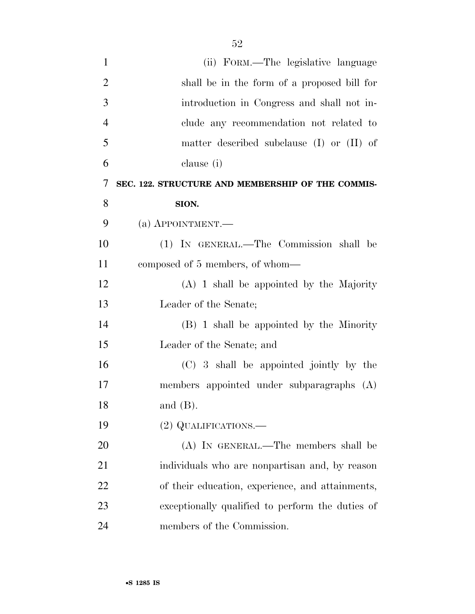| $\mathbf{1}$   | (ii) FORM.—The legislative language               |
|----------------|---------------------------------------------------|
| $\overline{2}$ | shall be in the form of a proposed bill for       |
| 3              | introduction in Congress and shall not in-        |
| $\overline{4}$ | clude any recommendation not related to           |
| 5              | matter described subclause (I) or (II) of         |
| 6              | clause (i)                                        |
| 7              | SEC. 122. STRUCTURE AND MEMBERSHIP OF THE COMMIS- |
| 8              | SION.                                             |
| 9              | $(a)$ APPOINTMENT.—                               |
| 10             | (1) IN GENERAL.—The Commission shall be           |
| 11             | composed of 5 members, of whom—                   |
| 12             | $(A)$ 1 shall be appointed by the Majority        |
| 13             | Leader of the Senate;                             |
| 14             | (B) 1 shall be appointed by the Minority          |
| 15             | Leader of the Senate; and                         |
| 16             | (C) 3 shall be appointed jointly by the           |
| 17             | members appointed under subparagraphs (A)         |
| 18             | and $(B)$ .                                       |
| 19             | (2) QUALIFICATIONS.—                              |
| 20             | (A) IN GENERAL.—The members shall be              |
| 21             | individuals who are nonpartisan and, by reason    |
| 22             | of their education, experience, and attainments,  |
| 23             | exceptionally qualified to perform the duties of  |
| 24             | members of the Commission.                        |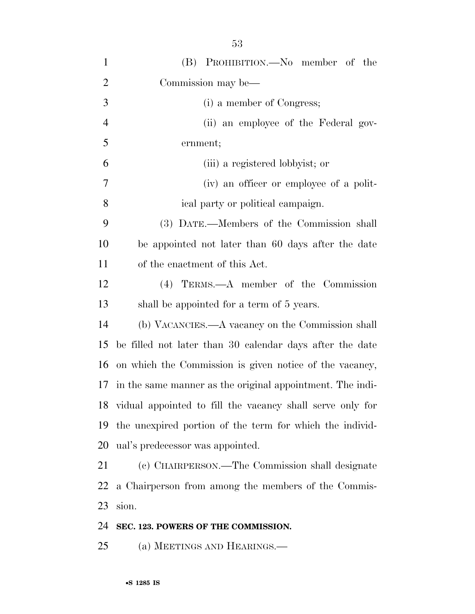| $\mathbf{1}$   | (B) PROHIBITION.—No member of the                            |
|----------------|--------------------------------------------------------------|
| $\overline{2}$ | Commission may be—                                           |
| 3              | (i) a member of Congress;                                    |
| $\overline{4}$ | (ii) an employee of the Federal gov-                         |
| 5              | ernment;                                                     |
| 6              | (iii) a registered lobbyist; or                              |
| 7              | (iv) an officer or employee of a polit-                      |
| 8              | ical party or political campaign.                            |
| 9              | (3) DATE.—Members of the Commission shall                    |
| 10             | be appointed not later than 60 days after the date           |
| 11             | of the enactment of this Act.                                |
| 12             | (4) TERMS.—A member of the Commission                        |
| 13             | shall be appointed for a term of 5 years.                    |
| 14             | (b) VACANCIES.—A vacancy on the Commission shall             |
| 15             | be filled not later than 30 calendar days after the date     |
| 16             | on which the Commission is given notice of the vacancy,      |
| 17             | in the same manner as the original appointment. The indi-    |
|                | 18 vidual appointed to fill the vacancy shall serve only for |
| 19             | the unexpired portion of the term for which the individ-     |
| 20             | ual's predecessor was appointed.                             |
| 21             | (c) CHAIRPERSON.—The Commission shall designate              |
| 22             | a Chairperson from among the members of the Commis-          |
| 23             | sion.                                                        |
| 24             | SEC. 123. POWERS OF THE COMMISSION.                          |
| 25             | (a) MEETINGS AND HEARINGS.—                                  |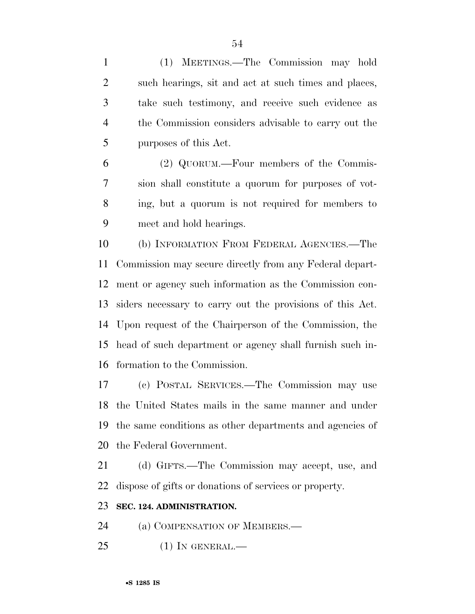(1) MEETINGS.—The Commission may hold such hearings, sit and act at such times and places, take such testimony, and receive such evidence as the Commission considers advisable to carry out the purposes of this Act.

 (2) QUORUM.—Four members of the Commis- sion shall constitute a quorum for purposes of vot- ing, but a quorum is not required for members to meet and hold hearings.

 (b) INFORMATION FROM FEDERAL AGENCIES.—The Commission may secure directly from any Federal depart- ment or agency such information as the Commission con- siders necessary to carry out the provisions of this Act. Upon request of the Chairperson of the Commission, the head of such department or agency shall furnish such in-formation to the Commission.

 (c) POSTAL SERVICES.—The Commission may use the United States mails in the same manner and under the same conditions as other departments and agencies of the Federal Government.

 (d) GIFTS.—The Commission may accept, use, and dispose of gifts or donations of services or property.

## **SEC. 124. ADMINISTRATION.**

24 (a) COMPENSATION OF MEMBERS.—

(1) IN GENERAL.—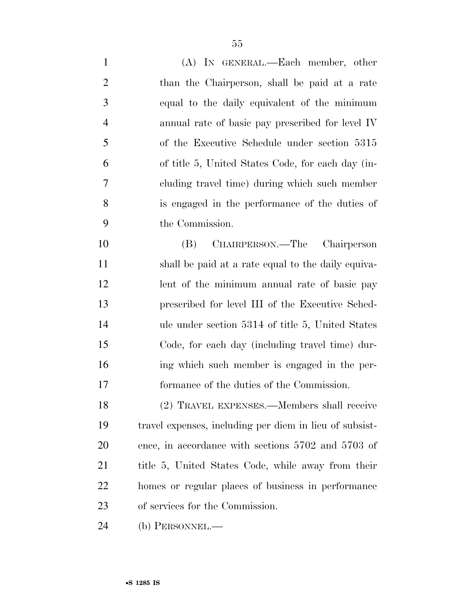| $\mathbf{1}$   | (A) IN GENERAL.—Each member, other                      |
|----------------|---------------------------------------------------------|
| $\overline{2}$ | than the Chairperson, shall be paid at a rate           |
| 3              | equal to the daily equivalent of the minimum            |
| $\overline{4}$ | annual rate of basic pay prescribed for level IV        |
| 5              | of the Executive Schedule under section 5315            |
| 6              | of title 5, United States Code, for each day (in-       |
| $\overline{7}$ | cluding travel time) during which such member           |
| 8              | is engaged in the performance of the duties of          |
| 9              | the Commission.                                         |
| 10             | CHAIRPERSON.—The Chairperson<br>(B)                     |
| 11             | shall be paid at a rate equal to the daily equiva-      |
| 12             | lent of the minimum annual rate of basic pay            |
| 13             | prescribed for level III of the Executive Sched-        |
| 14             | ule under section 5314 of title 5, United States        |
| 15             | Code, for each day (including travel time) dur-         |
| 16             | ing which such member is engaged in the per-            |
| 17             | formance of the duties of the Commission.               |
| 18             | (2) TRAVEL EXPENSES.—Members shall receive              |
| 19             | travel expenses, including per diem in lieu of subsist- |
| <b>20</b>      | ence, in accordance with sections 5702 and 5703 of      |
| 21             | title 5, United States Code, while away from their      |
| 22             | homes or regular places of business in performance      |
| 23             | of services for the Commission.                         |
| 24             | (b) PERSONNEL.—                                         |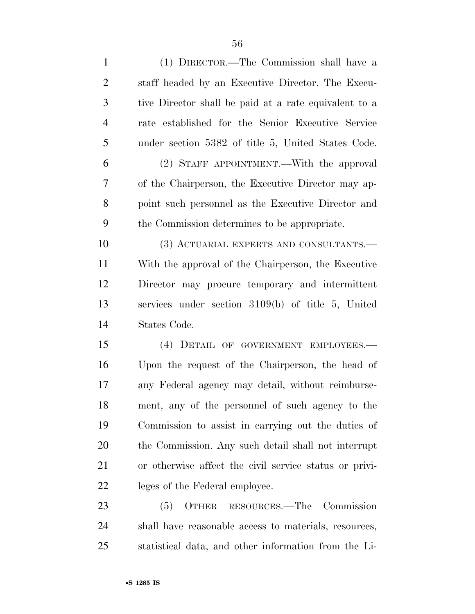| $\mathbf{1}$   | (1) DIRECTOR.—The Commission shall have a              |
|----------------|--------------------------------------------------------|
| $\overline{2}$ | staff headed by an Executive Director. The Execu-      |
| 3              | tive Director shall be paid at a rate equivalent to a  |
| $\overline{4}$ | rate established for the Senior Executive Service      |
| 5              | under section 5382 of title 5, United States Code.     |
| 6              | (2) STAFF APPOINTMENT.—With the approval               |
| 7              | of the Chairperson, the Executive Director may ap-     |
| 8              | point such personnel as the Executive Director and     |
| 9              | the Commission determines to be appropriate.           |
| 10             | (3) ACTUARIAL EXPERTS AND CONSULTANTS.—                |
| 11             | With the approval of the Chairperson, the Executive    |
| 12             | Director may procure temporary and intermittent        |
| 13             | services under section 3109(b) of title 5, United      |
| 14             | States Code.                                           |
| 15             | (4) DETAIL OF GOVERNMENT EMPLOYEES.—                   |
| 16             | Upon the request of the Chairperson, the head of       |
| 17             | any Federal agency may detail, without reimburse-      |
| 18             | ment, any of the personnel of such agency to the       |
| 19             | Commission to assist in carrying out the duties of     |
| 20             | the Commission. Any such detail shall not interrupt    |
| 21             | or otherwise affect the civil service status or privi- |
| 22             | leges of the Federal employee.                         |
| 23             | OTHER RESOURCES.—The Commission<br>(5)                 |
| 24             | shall have reasonable access to materials, resources,  |
| 25             | statistical data, and other information from the Li-   |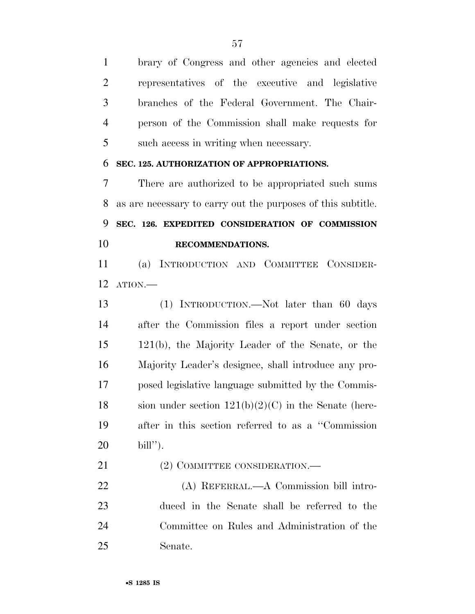brary of Congress and other agencies and elected representatives of the executive and legislative branches of the Federal Government. The Chair- person of the Commission shall make requests for such access in writing when necessary.

## **SEC. 125. AUTHORIZATION OF APPROPRIATIONS.**

 There are authorized to be appropriated such sums as are necessary to carry out the purposes of this subtitle. **SEC. 126. EXPEDITED CONSIDERATION OF COMMISSION RECOMMENDATIONS.** 

 (a) INTRODUCTION AND COMMITTEE CONSIDER-ATION.—

 (1) INTRODUCTION.—Not later than 60 days after the Commission files a report under section 121(b), the Majority Leader of the Senate, or the Majority Leader's designee, shall introduce any pro- posed legislative language submitted by the Commis-18 sion under section  $121(b)(2)(C)$  in the Senate (here- after in this section referred to as a ''Commission bill'').

21 (2) COMMITTEE CONSIDERATION.—

 (A) REFERRAL.—A Commission bill intro- duced in the Senate shall be referred to the Committee on Rules and Administration of the Senate.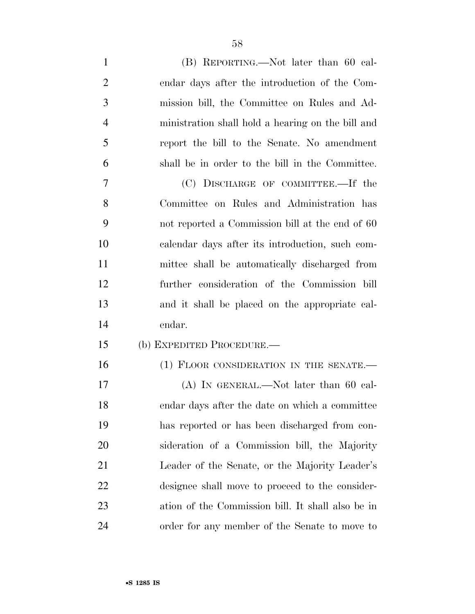| $\mathbf{1}$   | (B) REPORTING.—Not later than 60 cal-             |
|----------------|---------------------------------------------------|
| $\overline{2}$ | endar days after the introduction of the Com-     |
| 3              | mission bill, the Committee on Rules and Ad-      |
| $\overline{4}$ | ministration shall hold a hearing on the bill and |
| 5              | report the bill to the Senate. No amendment       |
| 6              | shall be in order to the bill in the Committee.   |
| 7              | (C) DISCHARGE OF COMMITTEE.—If the                |
| 8              | Committee on Rules and Administration has         |
| 9              | not reported a Commission bill at the end of 60   |
| 10             | calendar days after its introduction, such com-   |
| 11             | mittee shall be automatically discharged from     |
| 12             | further consideration of the Commission bill      |
| 13             | and it shall be placed on the appropriate cal-    |
| 14             | endar.                                            |
| 15             | (b) EXPEDITED PROCEDURE.—                         |
| 16             | (1) FLOOR CONSIDERATION IN THE SENATE.-           |
| 17             | $(A)$ In GENERAL.—Not later than 60 cal-          |
| 18             | endar days after the date on which a committee    |
| 19             | has reported or has been discharged from con-     |
| 20             | sideration of a Commission bill, the Majority     |
| 21             | Leader of the Senate, or the Majority Leader's    |
| 22             | designee shall move to proceed to the consider-   |
| 23             | ation of the Commission bill. It shall also be in |
| 24             | order for any member of the Senate to move to     |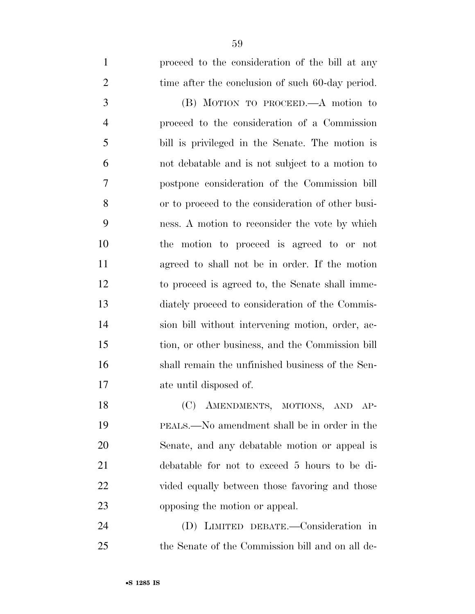proceed to the consideration of the bill at any 2 time after the conclusion of such 60-day period. (B) MOTION TO PROCEED.—A motion to proceed to the consideration of a Commission bill is privileged in the Senate. The motion is not debatable and is not subject to a motion to postpone consideration of the Commission bill or to proceed to the consideration of other busi- ness. A motion to reconsider the vote by which the motion to proceed is agreed to or not agreed to shall not be in order. If the motion to proceed is agreed to, the Senate shall imme- diately proceed to consideration of the Commis- sion bill without intervening motion, order, ac- tion, or other business, and the Commission bill shall remain the unfinished business of the Sen- ate until disposed of. 18 (C) AMENDMENTS, MOTIONS, AND AP-PEALS.—No amendment shall be in order in the

 opposing the motion or appeal. (D) LIMITED DEBATE.—Consideration in the Senate of the Commission bill and on all de-

Senate, and any debatable motion or appeal is

debatable for not to exceed 5 hours to be di-

vided equally between those favoring and those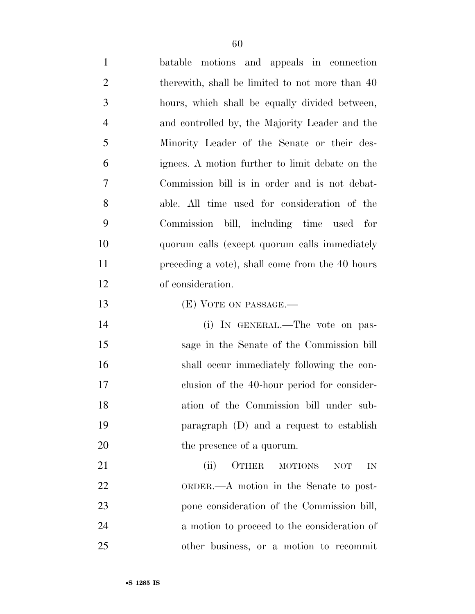batable motions and appeals in connection 2 therewith, shall be limited to not more than 40 hours, which shall be equally divided between, and controlled by, the Majority Leader and the Minority Leader of the Senate or their des- ignees. A motion further to limit debate on the Commission bill is in order and is not debat- able. All time used for consideration of the Commission bill, including time used for quorum calls (except quorum calls immediately preceding a vote), shall come from the 40 hours of consideration. (E) VOTE ON PASSAGE.— (i) IN GENERAL.—The vote on pas- sage in the Senate of the Commission bill shall occur immediately following the con- clusion of the 40-hour period for consider- ation of the Commission bill under sub-paragraph (D) and a request to establish

21 (ii) OTHER MOTIONS NOT IN ORDER.—A motion in the Senate to post- pone consideration of the Commission bill, a motion to proceed to the consideration of other business, or a motion to recommit

20 the presence of a quorum.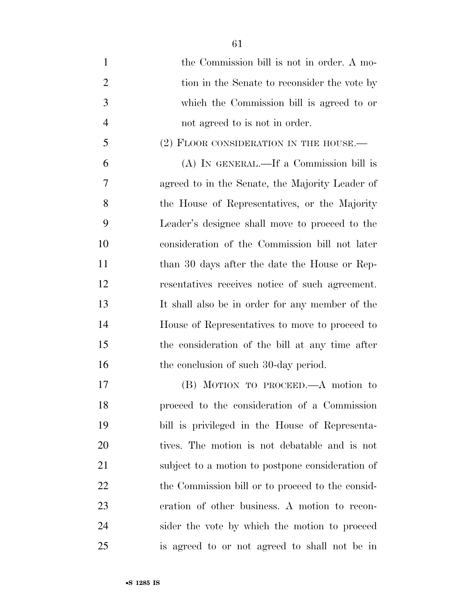- 1 the Commission bill is not in order. A mo-2 tion in the Senate to reconsider the vote by which the Commission bill is agreed to or not agreed to is not in order. 5 (2) FLOOR CONSIDERATION IN THE HOUSE.— (A) IN GENERAL.—If a Commission bill is agreed to in the Senate, the Majority Leader of the House of Representatives, or the Majority Leader's designee shall move to proceed to the consideration of the Commission bill not later 11 than 30 days after the date the House or Rep- resentatives receives notice of such agreement. It shall also be in order for any member of the House of Representatives to move to proceed to the consideration of the bill at any time after 16 the conclusion of such 30-day period. (B) MOTION TO PROCEED.—A motion to proceed to the consideration of a Commission bill is privileged in the House of Representa- tives. The motion is not debatable and is not subject to a motion to postpone consideration of
- 22 the Commission bill or to proceed to the consid- eration of other business. A motion to recon- sider the vote by which the motion to proceed is agreed to or not agreed to shall not be in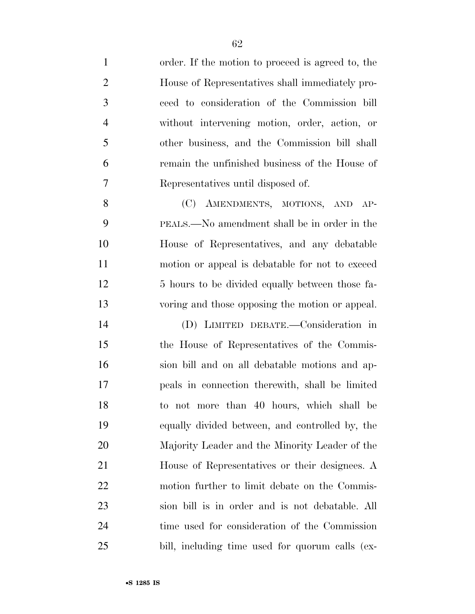| $\mathbf{1}$   | order. If the motion to proceed is agreed to, the |
|----------------|---------------------------------------------------|
| $\overline{2}$ | House of Representatives shall immediately pro-   |
| 3              | ceed to consideration of the Commission bill      |
| $\overline{4}$ | without intervening motion, order, action, or     |
| 5              | other business, and the Commission bill shall     |
| 6              | remain the unfinished business of the House of    |
| 7              | Representatives until disposed of.                |
| 8              | (C) AMENDMENTS, MOTIONS, AND AP-                  |
| 9              | PEALS.—No amendment shall be in order in the      |
| 10             | House of Representatives, and any debatable       |
| 11             | motion or appeal is debatable for not to exceed   |
| 12             | 5 hours to be divided equally between those fa-   |
| 13             | voring and those opposing the motion or appeal.   |
| 14             | (D) LIMITED DEBATE.—Consideration in              |
| 15             | the House of Representatives of the Commis-       |
| 16             | sion bill and on all debatable motions and ap-    |
| 17             | peals in connection therewith, shall be limited   |
| 18             | to not more than 40 hours, which shall be         |
| 19             | equally divided between, and controlled by, the   |
| 20             | Majority Leader and the Minority Leader of the    |
| 21             | House of Representatives or their designees. A    |
| 22             | motion further to limit debate on the Commis-     |
| 23             | sion bill is in order and is not debatable. All   |
| 24             | time used for consideration of the Commission     |
| 25             | bill, including time used for quorum calls (ex-   |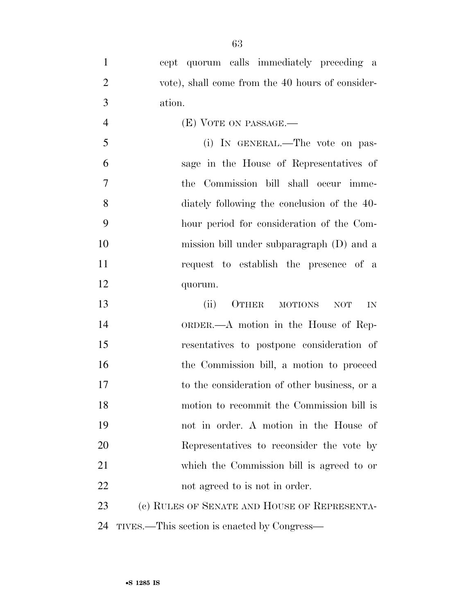| $\mathbf{1}$   | cept quorum calls immediately preceding a           |
|----------------|-----------------------------------------------------|
| $\overline{2}$ | vote), shall come from the 40 hours of consider-    |
| 3              | ation.                                              |
| $\overline{4}$ | (E) VOTE ON PASSAGE.-                               |
| 5              | (i) IN GENERAL.—The vote on pas-                    |
| 6              | sage in the House of Representatives of             |
| $\overline{7}$ | the Commission bill shall occur imme-               |
| 8              | diately following the conclusion of the 40-         |
| 9              | hour period for consideration of the Com-           |
| 10             | mission bill under subparagraph (D) and a           |
| 11             | request to establish the presence of a              |
| 12             | quorum.                                             |
| 13             | (ii)<br>OTHER<br><b>MOTIONS</b><br><b>NOT</b><br>IN |
| 14             | ORDER.—A motion in the House of Rep-                |
| 15             | resentatives to postpone consideration of           |
| 16             | the Commission bill, a motion to proceed            |
| 17             |                                                     |
|                | to the consideration of other business, or a        |
| 18             | motion to recommit the Commission bill is           |
| 19             | not in order. A motion in the House of              |
| 20             | Representatives to reconsider the vote by           |
| 21             | which the Commission bill is agreed to or           |
| 22             | not agreed to is not in order.                      |
| 23             | (c) RULES OF SENATE AND HOUSE OF REPRESENTA-        |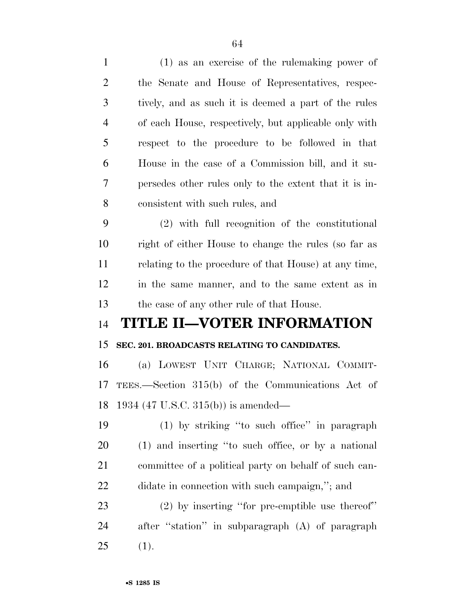|                | (1) as an exercise or the rulemaning power or          |
|----------------|--------------------------------------------------------|
| $\overline{2}$ | the Senate and House of Representatives, respec-       |
| 3              | tively, and as such it is deemed a part of the rules   |
| $\overline{4}$ | of each House, respectively, but applicable only with  |
| 5              | respect to the procedure to be followed in that        |
| 6              | House in the case of a Commission bill, and it su-     |
| 7              | persedes other rules only to the extent that it is in- |
| 8              | consistent with such rules, and                        |
| 9              | (2) with full recognition of the constitutional        |
| 10             | right of either House to change the rules (so far as   |
| 11             | relating to the procedure of that House) at any time,  |
| 12             | in the same manner, and to the same extent as in       |
| 13             | the case of any other rule of that House.              |
|                |                                                        |
| 14             | TITLE II—VOTER INFORMATION                             |
| 15             | SEC. 201. BROADCASTS RELATING TO CANDIDATES.           |
| 16             | (a) LOWEST UNIT CHARGE; NATIONAL COMMIT-               |
| 17             | TEES.—Section 315(b) of the Communications Act of      |
| 18             | 1934 (47 U.S.C. 315(b)) is amended—                    |
| 19             | (1) by striking "to such office" in paragraph          |
| 20             | (1) and inserting "to such office, or by a national    |
| 21             | committee of a political party on behalf of such can-  |
| 22             | didate in connection with such campaign,"; and         |
| 23             | $(2)$ by inserting "for pre-emptible use thereof"      |
| 24             | after "station" in subparagraph (A) of paragraph       |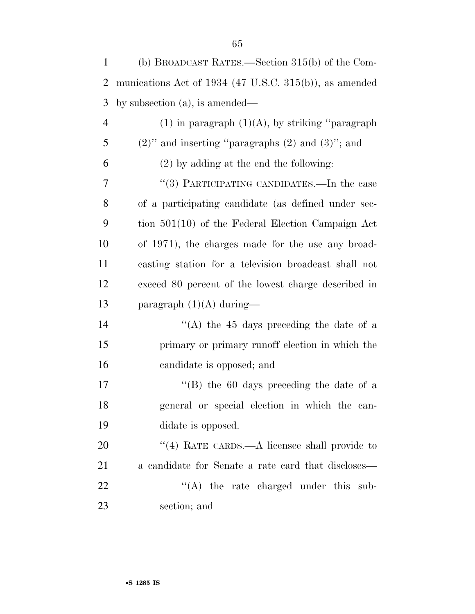| $\mathbf{1}$   | (b) BROADCAST RATES.—Section $315(b)$ of the Com-        |
|----------------|----------------------------------------------------------|
| 2              | munications Act of $1934$ (47 U.S.C. 315(b)), as amended |
| 3              | by subsection $(a)$ , is amended—                        |
| $\overline{4}$ | $(1)$ in paragraph $(1)(A)$ , by striking "paragraph"    |
| 5              | $(2)$ " and inserting "paragraphs $(2)$ and $(3)$ "; and |
| 6              | $(2)$ by adding at the end the following:                |
| 7              | "(3) PARTICIPATING CANDIDATES.—In the case               |
| 8              | of a participating candidate (as defined under sec-      |
| 9              | tion $501(10)$ of the Federal Election Campaign Act      |
| 10             | of 1971), the charges made for the use any broad-        |
| 11             | casting station for a television broadcast shall not     |
| 12             | exceed 80 percent of the lowest charge described in      |
| 13             | paragraph $(1)(A)$ during—                               |
| 14             | "(A) the 45 days preceding the date of a                 |
| 15             | primary or primary runoff election in which the          |
| 16             | candidate is opposed; and                                |
| 17             | "(B) the 60 days preceding the date of a                 |
| 18             | general or special election in which the can-            |
| 19             | didate is opposed.                                       |
| 20             | "(4) RATE CARDS.—A licensee shall provide to             |
| 21             | a candidate for Senate a rate card that discloses—       |
| 22             | $\lq\lq$ the rate charged under this sub-                |
| 23             | section; and                                             |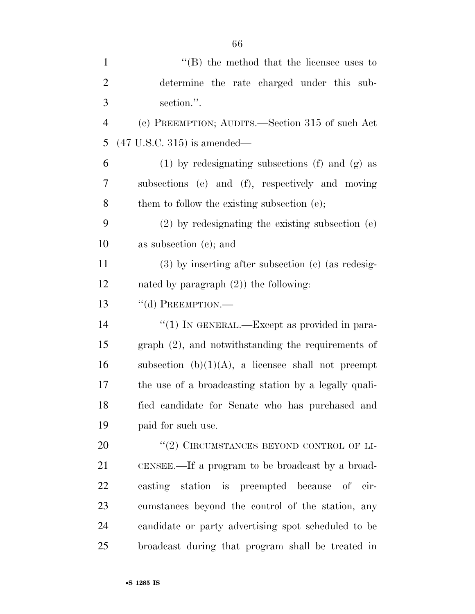| $\mathbf{1}$   | $\lq\lq$ the method that the licensee uses to          |
|----------------|--------------------------------------------------------|
| $\overline{2}$ | determine the rate charged under this sub-             |
| 3              | section.".                                             |
| $\overline{4}$ | (c) PREEMPTION; AUDITS.—Section 315 of such Act        |
| 5              | $(47 \text{ U.S.C. } 315)$ is amended—                 |
| 6              | $(1)$ by redesignating subsections $(f)$ and $(g)$ as  |
| 7              | subsections (e) and (f), respectively and moving       |
| 8              | them to follow the existing subsection (e);            |
| 9              | $(2)$ by redesignating the existing subsection $(e)$   |
| 10             | as subsection $(c)$ ; and                              |
| 11             | $(3)$ by inserting after subsection $(e)$ (as redesig- |
| 12             | nated by paragraph $(2)$ ) the following:              |
| 13             | $``$ (d) PREEMPTION.—                                  |
| 14             | "(1) IN GENERAL.—Except as provided in para-           |
| 15             | graph (2), and notwithstanding the requirements of     |
| 16             | subsection $(b)(1)(A)$ , a licensee shall not preempt  |
| 17             | the use of a broadcasting station by a legally quali-  |
| 18             | fied candidate for Senate who has purchased and        |
| 19             | paid for such use.                                     |
| 20             | "(2) CIRCUMSTANCES BEYOND CONTROL OF LI-               |
| 21             | CENSEE.—If a program to be broadcast by a broad-       |
| 22             | casting station is preempted because of cir-           |
| 23             | cumstances beyond the control of the station, any      |
| 24             | candidate or party advertising spot scheduled to be    |
| 25             | broadcast during that program shall be treated in      |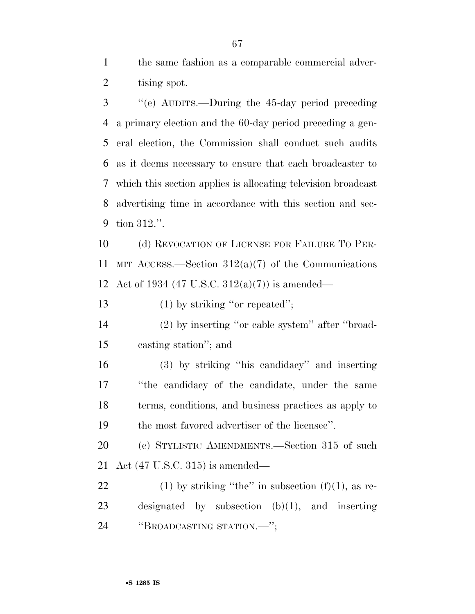the same fashion as a comparable commercial adver-tising spot.

 ''(e) AUDITS.—During the 45-day period preceding a primary election and the 60-day period preceding a gen- eral election, the Commission shall conduct such audits as it deems necessary to ensure that each broadcaster to which this section applies is allocating television broadcast advertising time in accordance with this section and sec-tion 312.''.

 (d) REVOCATION OF LICENSE FOR FAILURE TO PER-11 MIT ACCESS.—Section  $312(a)(7)$  of the Communications Act of 1934 (47 U.S.C. 312(a)(7)) is amended—

13 (1) by striking "or repeated";

 (2) by inserting ''or cable system'' after ''broad-casting station''; and

 (3) by striking ''his candidacy'' and inserting ''the candidacy of the candidate, under the same terms, conditions, and business practices as apply to the most favored advertiser of the licensee''.

 (e) STYLISTIC AMENDMENTS.—Section 315 of such Act (47 U.S.C. 315) is amended—

22 (1) by striking "the" in subsection  $(f)(1)$ , as re- designated by subsection (b)(1), and inserting ''BROADCASTING STATION.—'';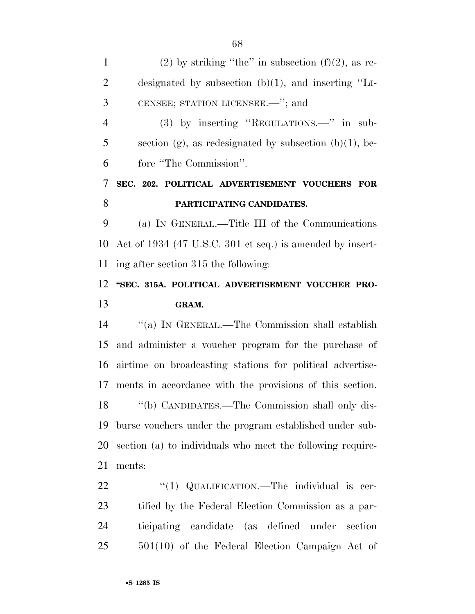1 (2) by striking "the" in subsection  $(f)(2)$ , as re- designated by subsection (b)(1), and inserting ''LI- CENSEE; STATION LICENSEE.—''; and (3) by inserting ''REGULATIONS.—'' in sub-5 section (g), as redesignated by subsection (b)(1), be- fore ''The Commission''. **SEC. 202. POLITICAL ADVERTISEMENT VOUCHERS FOR PARTICIPATING CANDIDATES.**  (a) IN GENERAL.—Title III of the Communications Act of 1934 (47 U.S.C. 301 et seq.) is amended by insert- ing after section 315 the following: **''SEC. 315A. POLITICAL ADVERTISEMENT VOUCHER PRO- GRAM.**  ''(a) IN GENERAL.—The Commission shall establish and administer a voucher program for the purchase of airtime on broadcasting stations for political advertise- ments in accordance with the provisions of this section. ''(b) CANDIDATES.—The Commission shall only dis-

 burse vouchers under the program established under sub- section (a) to individuals who meet the following require-ments:

22 "(1) QUALIFICATION.—The individual is cer- tified by the Federal Election Commission as a par- ticipating candidate (as defined under section 501(10) of the Federal Election Campaign Act of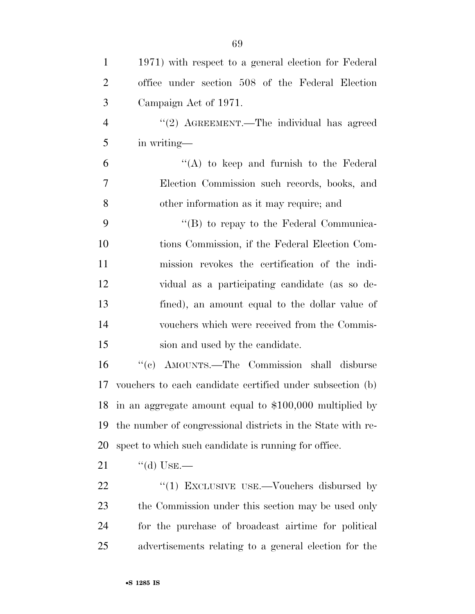| $\mathbf{1}$   | 1971) with respect to a general election for Federal        |
|----------------|-------------------------------------------------------------|
| $\overline{2}$ | office under section 508 of the Federal Election            |
| 3              | Campaign Act of 1971.                                       |
| $\overline{4}$ | "(2) AGREEMENT.—The individual has agreed                   |
| 5              | in writing-                                                 |
| 6              | $\lq\lq$ to keep and furnish to the Federal                 |
| $\overline{7}$ | Election Commission such records, books, and                |
| 8              | other information as it may require; and                    |
| 9              | $\lq\lq (B)$ to repay to the Federal Communica-             |
| 10             | tions Commission, if the Federal Election Com-              |
| 11             | mission revokes the certification of the indi-              |
| 12             | vidual as a participating candidate (as so de-              |
| 13             | fined), an amount equal to the dollar value of              |
| 14             | vouchers which were received from the Commis-               |
| 15             | sion and used by the candidate.                             |
| 16             | "(c) AMOUNTS.—The Commission shall disburse                 |
| 17             | vouchers to each candidate certified under subsection (b)   |
| 18             | in an aggregate amount equal to $$100,000$ multiplied by    |
| 19             | the number of congressional districts in the State with re- |
| 20             | spect to which such candidate is running for office.        |
| 21             | $\lq\lq$ Use.—                                              |
| 22             | "(1) EXCLUSIVE USE.—Vouchers disbursed by                   |
| 23             | the Commission under this section may be used only          |
| 24             | for the purchase of broadcast airtime for political         |
| 25             | advertisements relating to a general election for the       |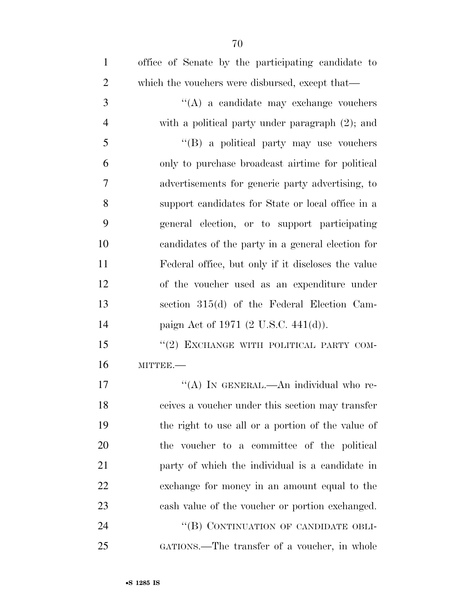| $\mathbf{1}$   | office of Senate by the participating candidate to |
|----------------|----------------------------------------------------|
| $\overline{2}$ | which the vouchers were disbursed, except that—    |
| 3              | "(A) a candidate may exchange vouchers             |
| $\overline{4}$ | with a political party under paragraph $(2)$ ; and |
| 5              | "(B) a political party may use vouchers            |
| 6              | only to purchase broadcast airtime for political   |
| 7              | advertisements for generic party advertising, to   |
| 8              | support candidates for State or local office in a  |
| 9              | general election, or to support participating      |
| 10             | candidates of the party in a general election for  |
| 11             | Federal office, but only if it discloses the value |
| 12             | of the voucher used as an expenditure under        |
| 13             | section 315(d) of the Federal Election Cam-        |
| 14             | paign Act of 1971 (2 U.S.C. 441(d)).               |
| 15             | "(2) EXCHANGE WITH POLITICAL PARTY COM-            |
| 16             | MITTEE.-                                           |
| 17             | "(A) IN GENERAL.—An individual who re-             |
| 18             | ceives a voucher under this section may transfer   |
| 19             | the right to use all or a portion of the value of  |
| 20             | the voucher to a committee of the political        |
| 21             | party of which the individual is a candidate in    |
| 22             | exchange for money in an amount equal to the       |
| 23             | cash value of the voucher or portion exchanged.    |
| 24             | "(B) CONTINUATION OF CANDIDATE OBLI-               |
| 25             | GATIONS.—The transfer of a voucher, in whole       |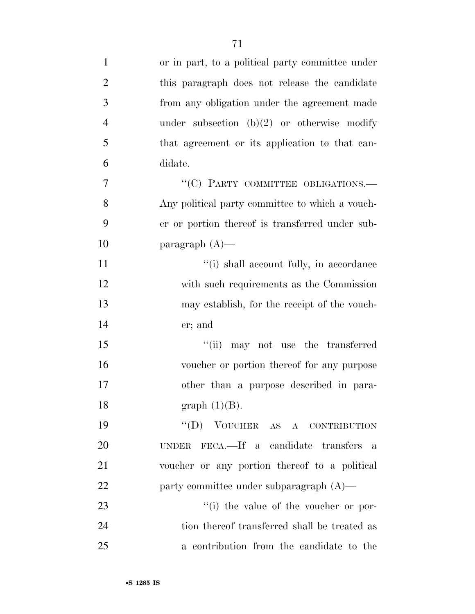| $\mathbf{1}$   | or in part, to a political party committee under |
|----------------|--------------------------------------------------|
| $\overline{2}$ | this paragraph does not release the candidate    |
| 3              | from any obligation under the agreement made     |
| $\overline{4}$ | under subsection $(b)(2)$ or otherwise modify    |
| 5              | that agreement or its application to that can-   |
| 6              | didate.                                          |
| 7              | "(C) PARTY COMMITTEE OBLIGATIONS.-               |
| 8              | Any political party committee to which a vouch-  |
| 9              | er or portion thereof is transferred under sub-  |
| 10             | paragraph $(A)$ —                                |
| 11             | "(i) shall account fully, in accordance          |
| 12             | with such requirements as the Commission         |
| 13             | may establish, for the receipt of the vouch-     |
| 14             | er; and                                          |
| 15             | "(ii) may not use the transferred                |
| 16             | voucher or portion thereof for any purpose       |
| 17             | other than a purpose described in para-          |
| 18             | graph $(1)(B)$ .                                 |
| 19             | $``(D)$ VOUCHER AS A CONTRIBUTION                |
| 20             | UNDER FECA.—If a candidate transfers a           |
| 21             | voucher or any portion thereof to a political    |
| 22             | party committee under subparagraph $(A)$ —       |
| 23             | "(i) the value of the voucher or por-            |
| 24             | tion thereof transferred shall be treated as     |
| 25             | a contribution from the candidate to the         |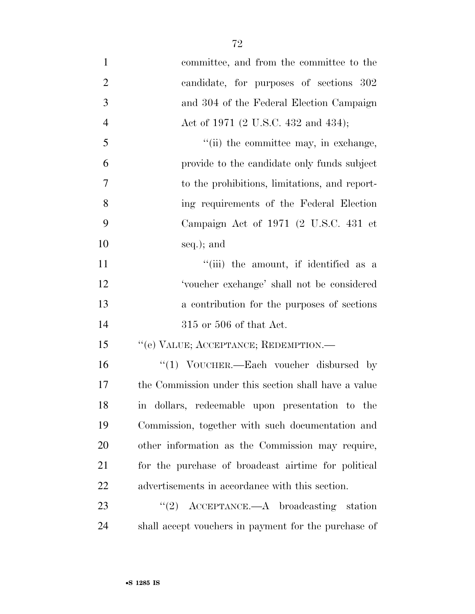| $\mathbf{1}$   | committee, and from the committee to the             |
|----------------|------------------------------------------------------|
| $\overline{2}$ | candidate, for purposes of sections 302              |
| 3              | and 304 of the Federal Election Campaign             |
| $\overline{4}$ | Act of 1971 (2 U.S.C. 432 and 434);                  |
| 5              | "(ii) the committee may, in exchange,                |
| 6              | provide to the candidate only funds subject          |
| $\overline{7}$ | to the prohibitions, limitations, and report-        |
| 8              | ing requirements of the Federal Election             |
| 9              | Campaign Act of 1971 (2 U.S.C. 431 et                |
| 10             | seq.); and                                           |
| 11             | "(iii) the amount, if identified as a                |
| 12             | 'voucher exchange' shall not be considered           |
| 13             | a contribution for the purposes of sections          |
| 14             | $315$ or $506$ of that Act.                          |
| 15             | "(e) VALUE; ACCEPTANCE; REDEMPTION.-                 |
| 16             | "(1) VOUCHER.—Each voucher disbursed by              |
| 17             | the Commission under this section shall have a value |
| 18             | in dollars, redeemable upon presentation to the      |
| 19             | Commission, together with such documentation and     |
| 20             | other information as the Commission may require,     |
| 21             | for the purchase of broadcast airtime for political  |
| 22             | advertisements in accordance with this section.      |
| 23             | $\lq(2)$ ACCEPTANCE.—A broadcasting station          |
| 24             | shall accept vouchers in payment for the purchase of |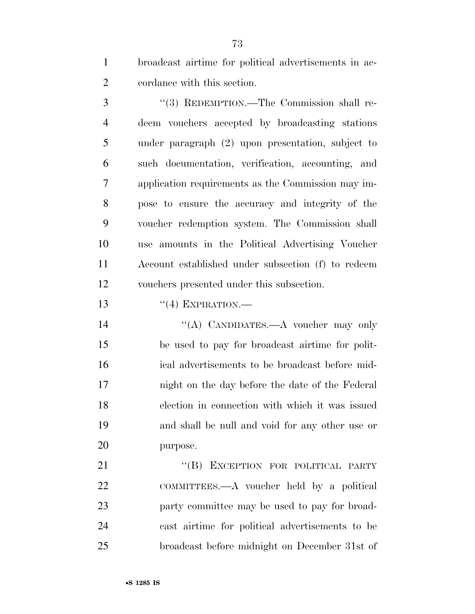broadcast airtime for political advertisements in ac-cordance with this section.

 ''(3) REDEMPTION.—The Commission shall re- deem vouchers accepted by broadcasting stations under paragraph (2) upon presentation, subject to such documentation, verification, accounting, and application requirements as the Commission may im- pose to ensure the accuracy and integrity of the voucher redemption system. The Commission shall use amounts in the Political Advertising Voucher Account established under subsection (f) to redeem vouchers presented under this subsection.

13  $((4)$  EXPIRATION.—

14 "(A) CANDIDATES.—A voucher may only be used to pay for broadcast airtime for polit- ical advertisements to be broadcast before mid- night on the day before the date of the Federal election in connection with which it was issued and shall be null and void for any other use or purpose.

21 "(B) EXCEPTION FOR POLITICAL PARTY COMMITTEES.—A voucher held by a political party committee may be used to pay for broad- cast airtime for political advertisements to be broadcast before midnight on December 31st of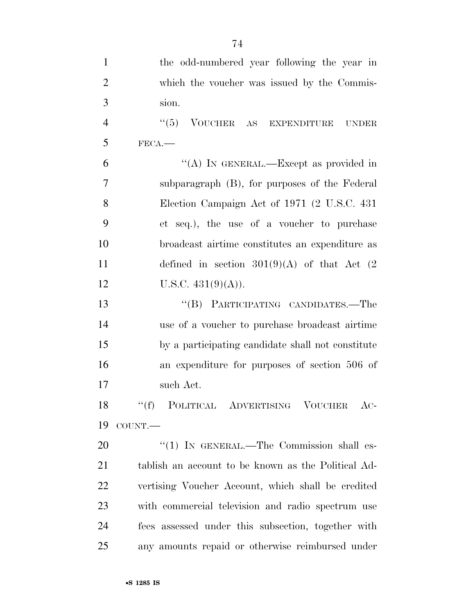| $\mathbf{1}$   | the odd-numbered year following the year in         |
|----------------|-----------------------------------------------------|
| $\overline{2}$ | which the voucher was issued by the Commis-         |
| 3              | sion.                                               |
| $\overline{4}$ | (6(5)<br>VOUCHER AS EXPENDITURE UNDER               |
| 5              | FECA.                                               |
| 6              | "(A) IN GENERAL.—Except as provided in              |
| 7              | subparagraph (B), for purposes of the Federal       |
| 8              | Election Campaign Act of 1971 (2 U.S.C. 431)        |
| 9              | et seq.), the use of a voucher to purchase          |
| 10             | broadcast airtime constitutes an expenditure as     |
| 11             | defined in section $301(9)(A)$ of that Act (2)      |
| 12             | U.S.C. $431(9)(A)$ ).                               |
| 13             | "(B) PARTICIPATING CANDIDATES.—The                  |
| 14             | use of a voucher to purchase broadcast airtime      |
| 15             | by a participating candidate shall not constitute   |
| 16             | an expenditure for purposes of section 506 of       |
| 17             | such Act.                                           |
| 18             | ``(f)<br>POLITICAL ADVERTISING VOUCHER<br>$AC-$     |
| 19             | COUNT.                                              |
| 20             | $\lq(1)$ IN GENERAL.—The Commission shall es-       |
| 21             | tablish an account to be known as the Political Ad- |
| 22             | vertising Voucher Account, which shall be credited  |
| 23             | with commercial television and radio spectrum use   |
| 24             | fees assessed under this subsection, together with  |
| 25             | any amounts repaid or otherwise reimbursed under    |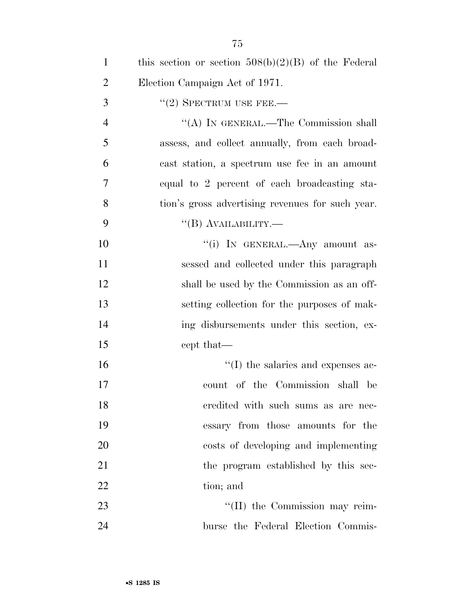| $\mathbf{1}$   | this section or section $508(b)(2)(B)$ of the Federal |
|----------------|-------------------------------------------------------|
| $\overline{2}$ | Election Campaign Act of 1971.                        |
| 3              | $"(2)$ SPECTRUM USE FEE.—                             |
| 4              | "(A) IN GENERAL.—The Commission shall                 |
| 5              | assess, and collect annually, from each broad-        |
| 6              | cast station, a spectrum use fee in an amount         |
| $\overline{7}$ | equal to 2 percent of each broadcasting sta-          |
| 8              | tion's gross advertising revenues for such year.      |
| 9              | $\lq\lq (B)$ AVAILABILITY.—                           |
| 10             | "(i) IN GENERAL.—Any amount as-                       |
| 11             | sessed and collected under this paragraph             |
| 12             | shall be used by the Commission as an off-            |
| 13             | setting collection for the purposes of mak-           |
| 14             | ing disbursements under this section, ex-             |
| 15             | cept that—                                            |
| 16             | $\lq\lq$ (I) the salaries and expenses ac-            |
| 17             | count of the Commission shall be                      |
| 18             | eredited with such sums as are nec-                   |
| 19             | essary from those amounts for the                     |
| 20             | costs of developing and implementing                  |
| 21             | the program established by this sec-                  |
| 22             | tion; and                                             |
| 23             | "(II) the Commission may reim-                        |
| 24             | burse the Federal Election Commis-                    |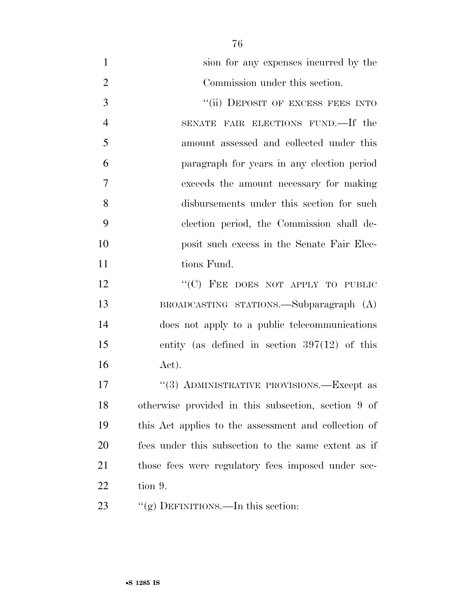| $\mathbf{1}$   | sion for any expenses incurred by the                |
|----------------|------------------------------------------------------|
| $\overline{2}$ | Commission under this section.                       |
| 3              | "(ii) DEPOSIT OF EXCESS FEES INTO                    |
| $\overline{4}$ | SENATE FAIR ELECTIONS FUND.—If the                   |
| 5              | amount assessed and collected under this             |
| 6              | paragraph for years in any election period           |
| 7              | exceeds the amount necessary for making              |
| 8              | disbursements under this section for such            |
| 9              | election period, the Commission shall de-            |
| 10             | posit such excess in the Senate Fair Elec-           |
| 11             | tions Fund.                                          |
| 12             | "(C) FEE DOES NOT APPLY TO PUBLIC                    |
| 13             | BROADCASTING STATIONS.—Subparagraph (A)              |
| 14             | does not apply to a public telecommunications        |
| 15             | entity (as defined in section $397(12)$ of this      |
| 16             | Act).                                                |
| 17             | "(3) ADMINISTRATIVE PROVISIONS.—Except as            |
| 18             | otherwise provided in this subsection, section 9 of  |
| 19             | this Act applies to the assessment and collection of |
| 20             | fees under this subsection to the same extent as if  |
| 21             | those fees were regulatory fees imposed under sec-   |
| 22             | tion 9.                                              |
| 23             | "(g) DEFINITIONS.—In this section:                   |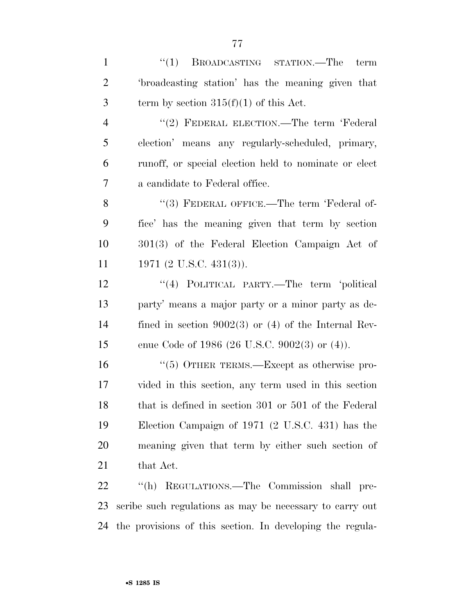| $\mathbf{1}$   | ``(1)<br>BROADCASTING STATION.—The term                   |
|----------------|-----------------------------------------------------------|
| $\overline{2}$ | 'broadcasting station' has the meaning given that         |
| 3              | term by section $315(f)(1)$ of this Act.                  |
| $\overline{4}$ | "(2) FEDERAL ELECTION.—The term 'Federal                  |
| 5              | election' means any regularly-scheduled, primary,         |
| 6              | runoff, or special election held to nominate or elect     |
| 7              | a candidate to Federal office.                            |
| 8              | "(3) FEDERAL OFFICE.—The term 'Federal of-                |
| 9              | fice' has the meaning given that term by section          |
| 10             | 301(3) of the Federal Election Campaign Act of            |
| 11             | 1971 (2 U.S.C. 431(3)).                                   |
| 12             | "(4) POLITICAL PARTY.—The term 'political                 |
| 13             | party' means a major party or a minor party as de-        |
| 14             | fined in section $9002(3)$ or (4) of the Internal Rev-    |
| 15             | enue Code of 1986 (26 U.S.C. 9002(3) or $(4)$ ).          |
| 16             | $\cdot\cdot$ (5) OTHER TERMS.—Except as otherwise pro-    |
| 17             | vided in this section, any term used in this section      |
| 18             | that is defined in section 301 or 501 of the Federal      |
| 19             | Election Campaign of 1971 (2 U.S.C. 431) has the          |
| 20             | meaning given that term by either such section of         |
| 21             | that Act.                                                 |
| 22             | "(h) REGULATIONS.—The Commission shall pre-               |
| 23             | scribe such regulations as may be necessary to carry out  |
| 24             | the provisions of this section. In developing the regula- |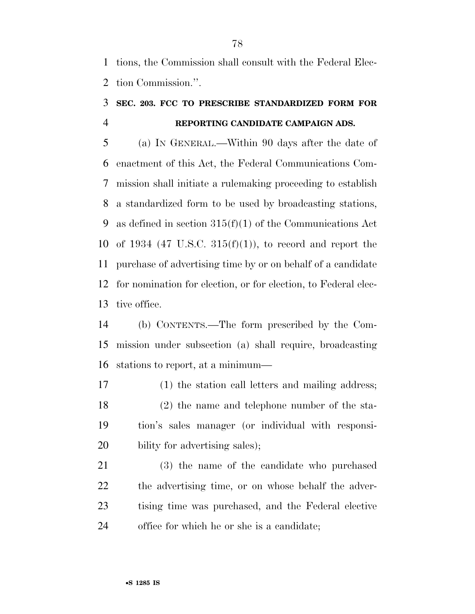tions, the Commission shall consult with the Federal Elec-tion Commission.''.

## **SEC. 203. FCC TO PRESCRIBE STANDARDIZED FORM FOR REPORTING CANDIDATE CAMPAIGN ADS.**

 (a) IN GENERAL.—Within 90 days after the date of enactment of this Act, the Federal Communications Com- mission shall initiate a rulemaking proceeding to establish a standardized form to be used by broadcasting stations, as defined in section 315(f)(1) of the Communications Act 10 of 1934 (47 U.S.C.  $315(f)(1)$ ), to record and report the purchase of advertising time by or on behalf of a candidate for nomination for election, or for election, to Federal elec-tive office.

 (b) CONTENTS.—The form prescribed by the Com- mission under subsection (a) shall require, broadcasting stations to report, at a minimum—

 (1) the station call letters and mailing address; (2) the name and telephone number of the sta- tion's sales manager (or individual with responsi-20 bility for advertising sales);

 (3) the name of the candidate who purchased the advertising time, or on whose behalf the adver- tising time was purchased, and the Federal elective office for which he or she is a candidate;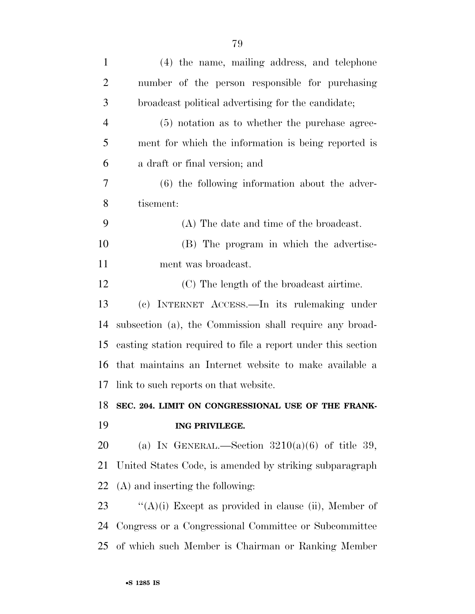| $\mathbf{1}$   | (4) the name, mailing address, and telephone                 |
|----------------|--------------------------------------------------------------|
| $\overline{2}$ | number of the person responsible for purchasing              |
| 3              | broadcast political advertising for the candidate;           |
| 4              | $(5)$ notation as to whether the purchase agree-             |
| 5              | ment for which the information is being reported is          |
| 6              | a draft or final version; and                                |
| 7              | (6) the following information about the adver-               |
| 8              | tisement:                                                    |
| 9              | (A) The date and time of the broadcast.                      |
| 10             | (B) The program in which the advertise-                      |
| 11             | ment was broadcast.                                          |
| 12             | (C) The length of the broadcast airtime.                     |
| 13             | (c) INTERNET ACCESS. - In its rulemaking under               |
| 14             | subsection (a), the Commission shall require any broad-      |
| 15             | casting station required to file a report under this section |
| 16             | that maintains an Internet website to make available a       |
| 17             | link to such reports on that website.                        |
| 18             | SEC. 204. LIMIT ON CONGRESSIONAL USE OF THE FRANK-           |
| 19             | ING PRIVILEGE.                                               |
| 20             | (a) IN GENERAL.—Section $3210(a)(6)$ of title 39,            |
| 21             | United States Code, is amended by striking subparagraph      |
| 22             | (A) and inserting the following:                             |
| 23             | " $(A)(i)$ Except as provided in clause (ii), Member of      |
| 24             | Congress or a Congressional Committee or Subcommittee        |
| 25             | of which such Member is Chairman or Ranking Member           |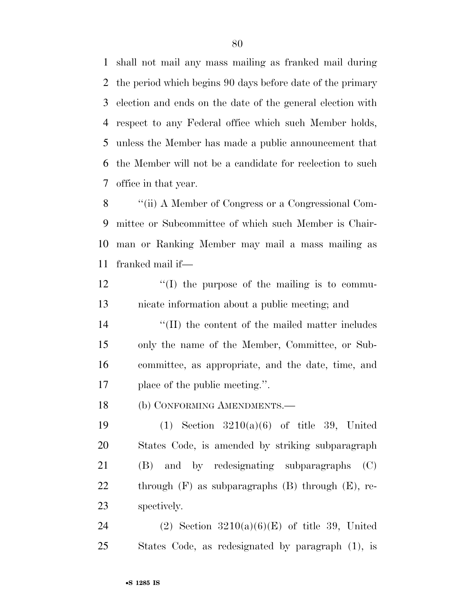shall not mail any mass mailing as franked mail during the period which begins 90 days before date of the primary election and ends on the date of the general election with respect to any Federal office which such Member holds, unless the Member has made a public announcement that the Member will not be a candidate for reelection to such office in that year.

 ''(ii) A Member of Congress or a Congressional Com- mittee or Subcommittee of which such Member is Chair- man or Ranking Member may mail a mass mailing as franked mail if—

12  $\langle f(\mathbf{I}) \rangle$  the purpose of the mailing is to commu-nicate information about a public meeting; and

14 ''(II) the content of the mailed matter includes only the name of the Member, Committee, or Sub- committee, as appropriate, and the date, time, and place of the public meeting.''.

(b) CONFORMING AMENDMENTS.—

 (1) Section 3210(a)(6) of title 39, United States Code, is amended by striking subparagraph (B) and by redesignating subparagraphs (C) through (F) as subparagraphs (B) through (E), re-spectively.

24 (2) Section  $3210(a)(6)(E)$  of title 39, United States Code, as redesignated by paragraph (1), is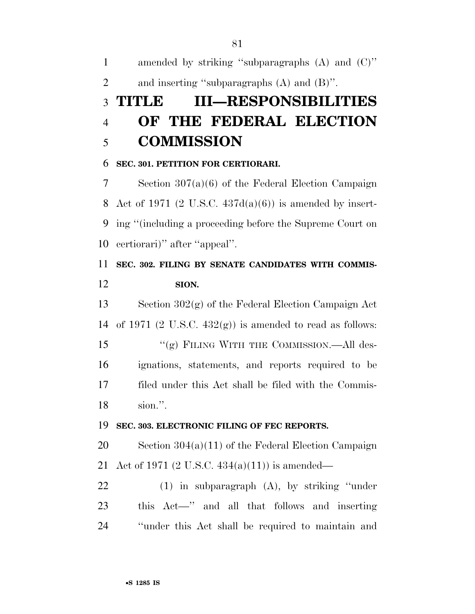amended by striking ''subparagraphs (A) and (C)'' and inserting ''subparagraphs (A) and (B)''.

# **TITLE III—RESPONSIBILITIES OF THE FEDERAL ELECTION COMMISSION**

#### **SEC. 301. PETITION FOR CERTIORARI.**

 Section 307(a)(6) of the Federal Election Campaign 8 Act of 1971 (2 U.S.C.  $437d(a)(6)$ ) is amended by insert- ing ''(including a proceeding before the Supreme Court on certiorari)'' after ''appeal''.

# **SEC. 302. FILING BY SENATE CANDIDATES WITH COMMIS-SION.**

 Section 302(g) of the Federal Election Campaign Act 14 of 1971 (2 U.S.C.  $432(g)$ ) is amended to read as follows: 15 "(g) FILING WITH THE COMMISSION.—All des- ignations, statements, and reports required to be filed under this Act shall be filed with the Commis-sion.''.

#### **SEC. 303. ELECTRONIC FILING OF FEC REPORTS.**

 Section 304(a)(11) of the Federal Election Campaign Act of 1971 (2 U.S.C. 434(a)(11)) is amended—

 (1) in subparagraph (A), by striking ''under this Act—'' and all that follows and inserting ''under this Act shall be required to maintain and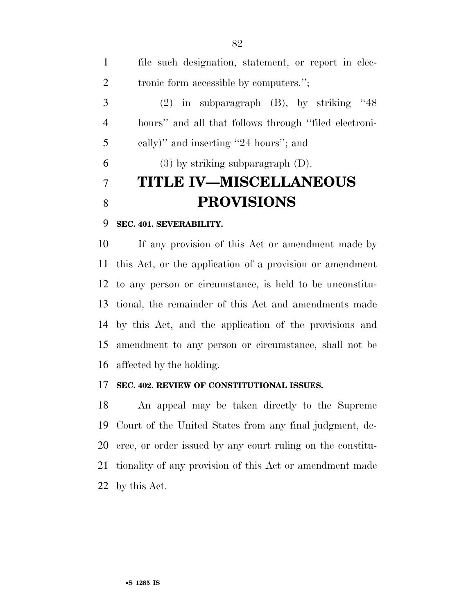| $\mathbf{1}$   | file such designation, statement, or report in elec-  |
|----------------|-------------------------------------------------------|
| 2              | tronic form accessible by computers.";                |
| 3              | $(2)$ in subparagraph $(B)$ , by striking "48         |
| $\overline{4}$ | hours" and all that follows through "filed electroni- |
| 5              | cally)" and inserting "24 hours"; and                 |
| 6              | $(3)$ by striking subparagraph $(D)$ .                |
| 7              | <b>TITLE IV-MISCELLANEOUS</b>                         |
| 8              | <b>PROVISIONS</b>                                     |

### **SEC. 401. SEVERABILITY.**

 If any provision of this Act or amendment made by this Act, or the application of a provision or amendment to any person or circumstance, is held to be unconstitu- tional, the remainder of this Act and amendments made by this Act, and the application of the provisions and amendment to any person or circumstance, shall not be affected by the holding.

#### **SEC. 402. REVIEW OF CONSTITUTIONAL ISSUES.**

 An appeal may be taken directly to the Supreme Court of the United States from any final judgment, de- cree, or order issued by any court ruling on the constitu- tionality of any provision of this Act or amendment made by this Act.